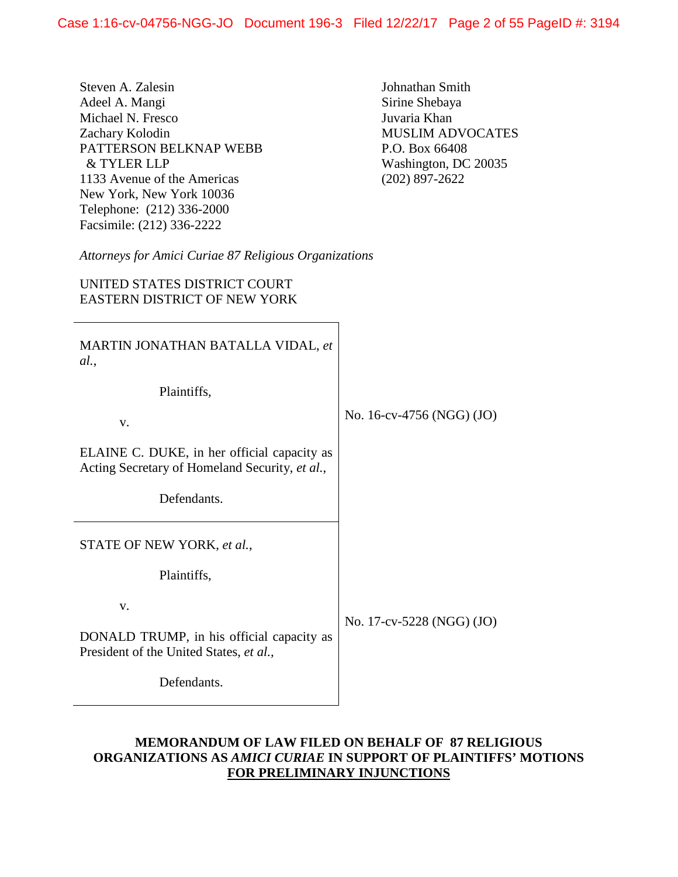٦

Steven A. Zalesin Adeel A. Mangi Michael N. Fresco Zachary Kolodin PATTERSON BELKNAP WEBB & TYLER LLP 1133 Avenue of the Americas New York, New York 10036 Telephone: (212) 336-2000 Facsimile: (212) 336-2222

Johnathan Smith Sirine Shebaya Juvaria Khan MUSLIM ADVOCATES P.O. Box 66408 Washington, DC 20035 (202) 897-2622

*Attorneys for Amici Curiae 87 Religious Organizations*

UNITED STATES DISTRICT COURT EASTERN DISTRICT OF NEW YORK

| MARTIN JONATHAN BATALLA VIDAL, et<br>al.,                                                     |                           |
|-----------------------------------------------------------------------------------------------|---------------------------|
| Plaintiffs,                                                                                   |                           |
| V.                                                                                            | No. 16-cv-4756 (NGG) (JO) |
| ELAINE C. DUKE, in her official capacity as<br>Acting Secretary of Homeland Security, et al., |                           |
| Defendants.                                                                                   |                           |
| STATE OF NEW YORK, et al.,                                                                    |                           |
| Plaintiffs,                                                                                   |                           |
| V.                                                                                            | No. 17-cv-5228 (NGG) (JO) |
| DONALD TRUMP, in his official capacity as<br>President of the United States, et al.,          |                           |
| Defendants.                                                                                   |                           |

### **MEMORANDUM OF LAW FILED ON BEHALF OF 87 RELIGIOUS ORGANIZATIONS AS** *AMICI CURIAE* **IN SUPPORT OF PLAINTIFFS' MOTIONS FOR PRELIMINARY INJUNCTIONS**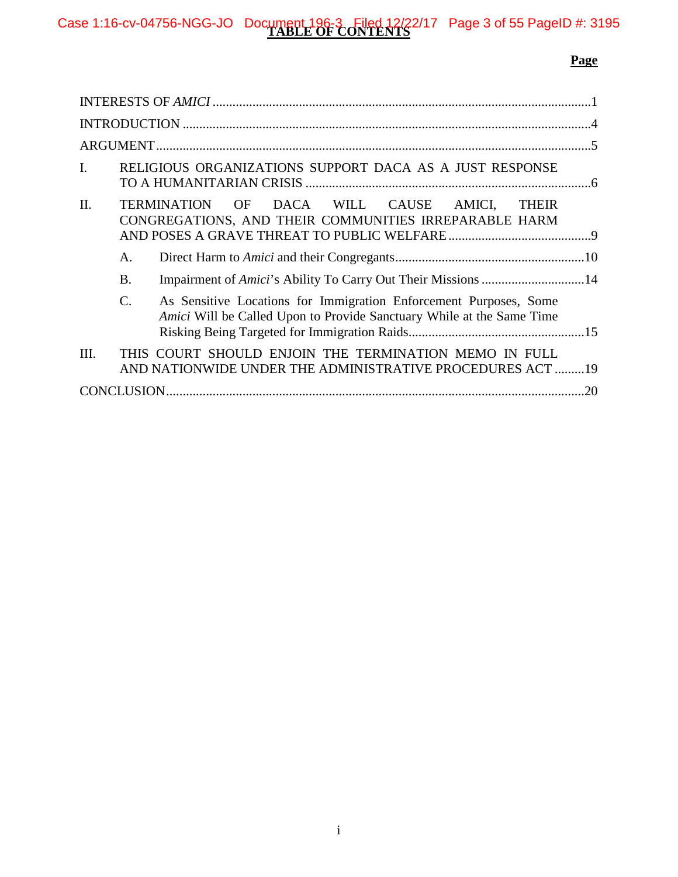Case 1:16-cv-04756-NGG-JO Document 196-3 Filed 12/22/17 Page 3 of 55 PageID #: 3195

# **Page**

| $\mathbf{I}$ . |           | RELIGIOUS ORGANIZATIONS SUPPORT DACA AS A JUST RESPONSE                                                                                    |     |
|----------------|-----------|--------------------------------------------------------------------------------------------------------------------------------------------|-----|
| Π.             |           | OF DACA WILL CAUSE AMICI,<br><b>TERMINATION</b><br><b>THEIR</b><br>CONGREGATIONS, AND THEIR COMMUNITIES IRREPARABLE HARM                   |     |
|                | A.        |                                                                                                                                            |     |
|                | <b>B.</b> |                                                                                                                                            |     |
|                | C.        | As Sensitive Locations for Immigration Enforcement Purposes, Some<br>Amici Will be Called Upon to Provide Sanctuary While at the Same Time |     |
| III.           |           | THIS COURT SHOULD ENJOIN THE TERMINATION MEMO IN FULL<br>AND NATIONWIDE UNDER THE ADMINISTRATIVE PROCEDURES ACT 19                         |     |
|                |           |                                                                                                                                            | .20 |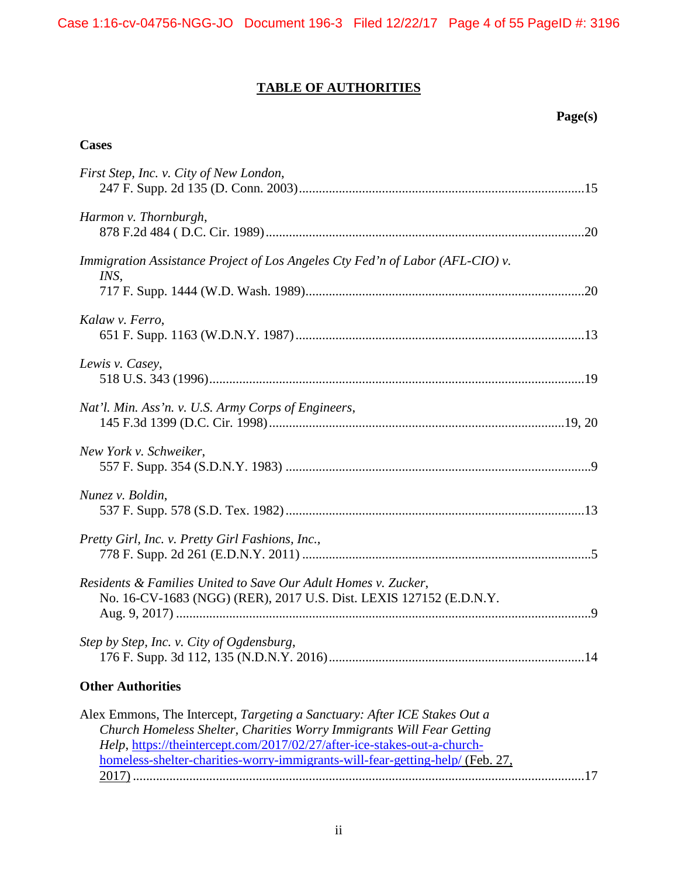# **TABLE OF AUTHORITIES**

### **Page(s)**

### **Cases**

| First Step, Inc. v. City of New London,                                                                                                                                                                                                                                                                         |  |
|-----------------------------------------------------------------------------------------------------------------------------------------------------------------------------------------------------------------------------------------------------------------------------------------------------------------|--|
| Harmon v. Thornburgh,                                                                                                                                                                                                                                                                                           |  |
| Immigration Assistance Project of Los Angeles Cty Fed'n of Labor (AFL-CIO) v.<br>INS,                                                                                                                                                                                                                           |  |
| Kalaw v. Ferro,                                                                                                                                                                                                                                                                                                 |  |
| Lewis v. Casey,                                                                                                                                                                                                                                                                                                 |  |
| Nat'l. Min. Ass'n. v. U.S. Army Corps of Engineers,                                                                                                                                                                                                                                                             |  |
| New York v. Schweiker,                                                                                                                                                                                                                                                                                          |  |
| Nunez v. Boldin,                                                                                                                                                                                                                                                                                                |  |
| Pretty Girl, Inc. v. Pretty Girl Fashions, Inc.,                                                                                                                                                                                                                                                                |  |
| Residents & Families United to Save Our Adult Homes v. Zucker,<br>No. 16-CV-1683 (NGG) (RER), 2017 U.S. Dist. LEXIS 127152 (E.D.N.Y.                                                                                                                                                                            |  |
| Step by Step, Inc. v. City of Ogdensburg,                                                                                                                                                                                                                                                                       |  |
| <b>Other Authorities</b>                                                                                                                                                                                                                                                                                        |  |
| Alex Emmons, The Intercept, Targeting a Sanctuary: After ICE Stakes Out a<br>Church Homeless Shelter, Charities Worry Immigrants Will Fear Getting<br>Help, https://theintercept.com/2017/02/27/after-ice-stakes-out-a-church-<br>homeless-shelter-charities-worry-immigrants-will-fear-getting-help/ (Feb. 27, |  |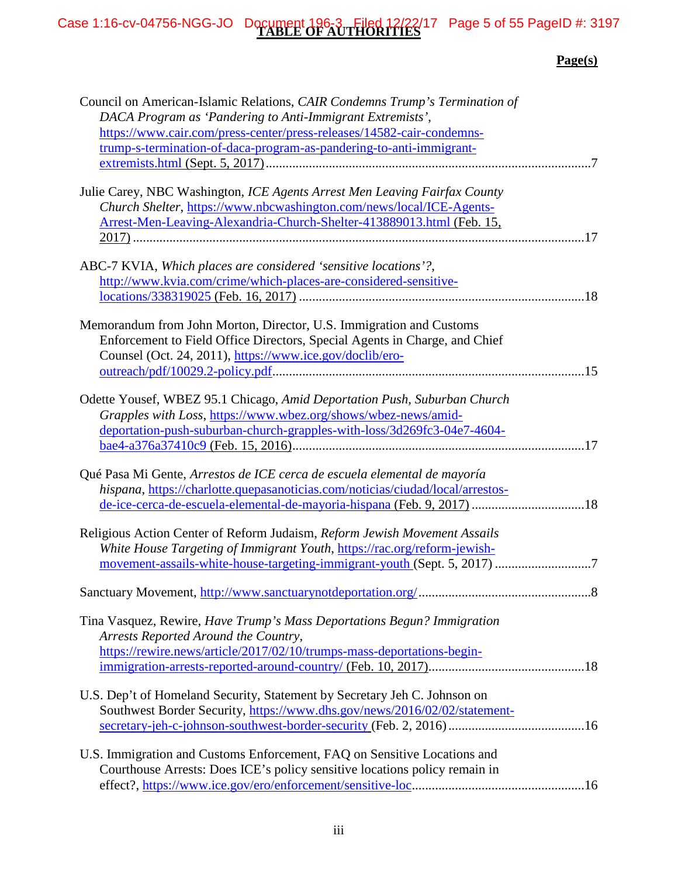Case 1:16-cv-04756-NGG-JO Document 196-3, Filed 12/22/17 Page 5 of 55 PageID #: 3197

# **Page(s)**

| Council on American-Islamic Relations, CAIR Condemns Trump's Termination of    |
|--------------------------------------------------------------------------------|
| DACA Program as 'Pandering to Anti-Immigrant Extremists',                      |
| https://www.cair.com/press-center/press-releases/14582-cair-condemns-          |
| trump-s-termination-of-daca-program-as-pandering-to-anti-immigrant-            |
| 7                                                                              |
| Julie Carey, NBC Washington, ICE Agents Arrest Men Leaving Fairfax County      |
| Church Shelter, https://www.nbcwashington.com/news/local/ICE-Agents-           |
| Arrest-Men-Leaving-Alexandria-Church-Shelter-413889013.html (Feb. 15,          |
| .17                                                                            |
| ABC-7 KVIA, Which places are considered 'sensitive locations'?,                |
| http://www.kvia.com/crime/which-places-are-considered-sensitive-               |
|                                                                                |
| Memorandum from John Morton, Director, U.S. Immigration and Customs            |
| Enforcement to Field Office Directors, Special Agents in Charge, and Chief     |
| Counsel (Oct. 24, 2011), https://www.ice.gov/doclib/ero-                       |
| .15                                                                            |
|                                                                                |
| Odette Yousef, WBEZ 95.1 Chicago, Amid Deportation Push, Suburban Church       |
| Grapples with Loss, https://www.wbez.org/shows/wbez-news/amid-                 |
| deportation-push-suburban-church-grapples-with-loss/3d269fc3-04e7-4604-        |
|                                                                                |
| Qué Pasa Mi Gente, Arrestos de ICE cerca de escuela elemental de mayoría       |
| hispana, https://charlotte.quepasanoticias.com/noticias/ciudad/local/arrestos- |
|                                                                                |
|                                                                                |
| Religious Action Center of Reform Judaism, Reform Jewish Movement Assails      |
| White House Targeting of Immigrant Youth, https://rac.org/reform-jewish-       |
|                                                                                |
|                                                                                |
|                                                                                |
| Tina Vasquez, Rewire, Have Trump's Mass Deportations Begun? Immigration        |
| Arrests Reported Around the Country,                                           |
| https://rewire.news/article/2017/02/10/trumps-mass-deportations-begin-         |
|                                                                                |
| U.S. Dep't of Homeland Security, Statement by Secretary Jeh C. Johnson on      |
| Southwest Border Security, https://www.dhs.gov/news/2016/02/02/statement-      |
|                                                                                |
|                                                                                |
| U.S. Immigration and Customs Enforcement, FAQ on Sensitive Locations and       |
| Courthouse Arrests: Does ICE's policy sensitive locations policy remain in     |
|                                                                                |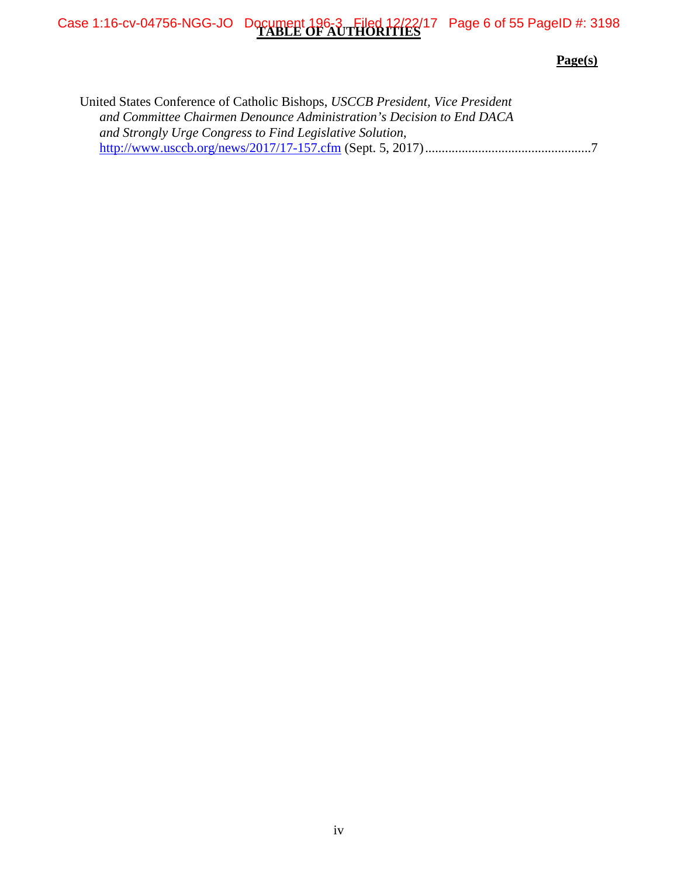Case 1:16-cv-04756-NGG-JO Document 196-3, Filed 12/22/17 Page 6 of 55 PageID #: 3198

## **Page(s)**

| United States Conference of Catholic Bishops, USCCB President, Vice President |  |
|-------------------------------------------------------------------------------|--|
| and Committee Chairmen Denounce Administration's Decision to End DACA         |  |
| and Strongly Urge Congress to Find Legislative Solution,                      |  |
|                                                                               |  |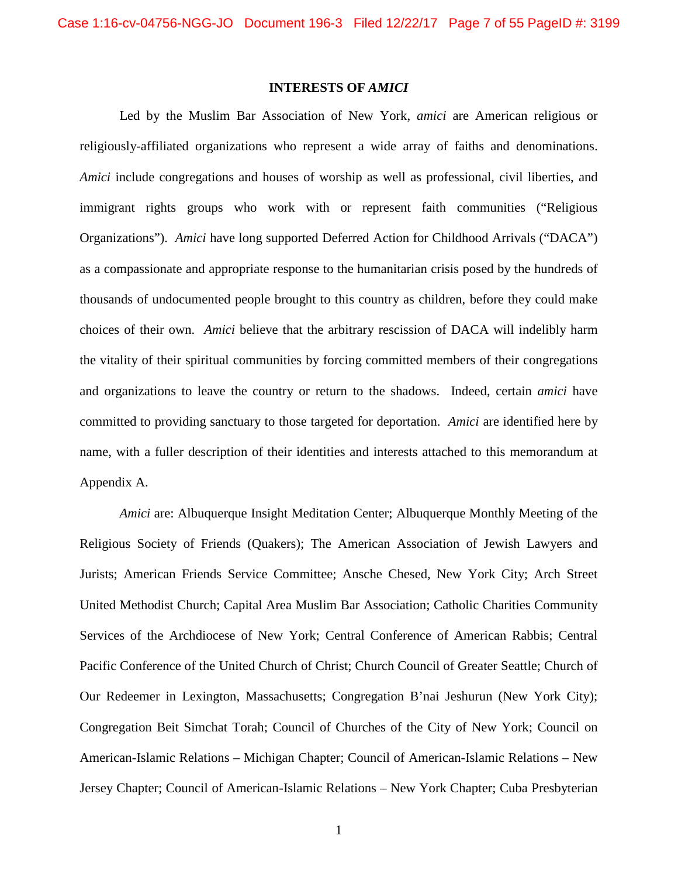### **INTERESTS OF** *AMICI*

Led by the Muslim Bar Association of New York, *amici* are American religious or religiously-affiliated organizations who represent a wide array of faiths and denominations. *Amici* include congregations and houses of worship as well as professional, civil liberties, and immigrant rights groups who work with or represent faith communities ("Religious Organizations"). *Amici* have long supported Deferred Action for Childhood Arrivals ("DACA") as a compassionate and appropriate response to the humanitarian crisis posed by the hundreds of thousands of undocumented people brought to this country as children, before they could make choices of their own. *Amici* believe that the arbitrary rescission of DACA will indelibly harm the vitality of their spiritual communities by forcing committed members of their congregations and organizations to leave the country or return to the shadows. Indeed, certain *amici* have committed to providing sanctuary to those targeted for deportation. *Amici* are identified here by name, with a fuller description of their identities and interests attached to this memorandum at Appendix A.

*Amici* are: Albuquerque Insight Meditation Center; Albuquerque Monthly Meeting of the Religious Society of Friends (Quakers); The American Association of Jewish Lawyers and Jurists; American Friends Service Committee; Ansche Chesed, New York City; Arch Street United Methodist Church; Capital Area Muslim Bar Association; Catholic Charities Community Services of the Archdiocese of New York; Central Conference of American Rabbis; Central Pacific Conference of the United Church of Christ; Church Council of Greater Seattle; Church of Our Redeemer in Lexington, Massachusetts; Congregation B'nai Jeshurun (New York City); Congregation Beit Simchat Torah; Council of Churches of the City of New York; Council on American-Islamic Relations – Michigan Chapter; Council of American-Islamic Relations – New Jersey Chapter; Council of American-Islamic Relations – New York Chapter; Cuba Presbyterian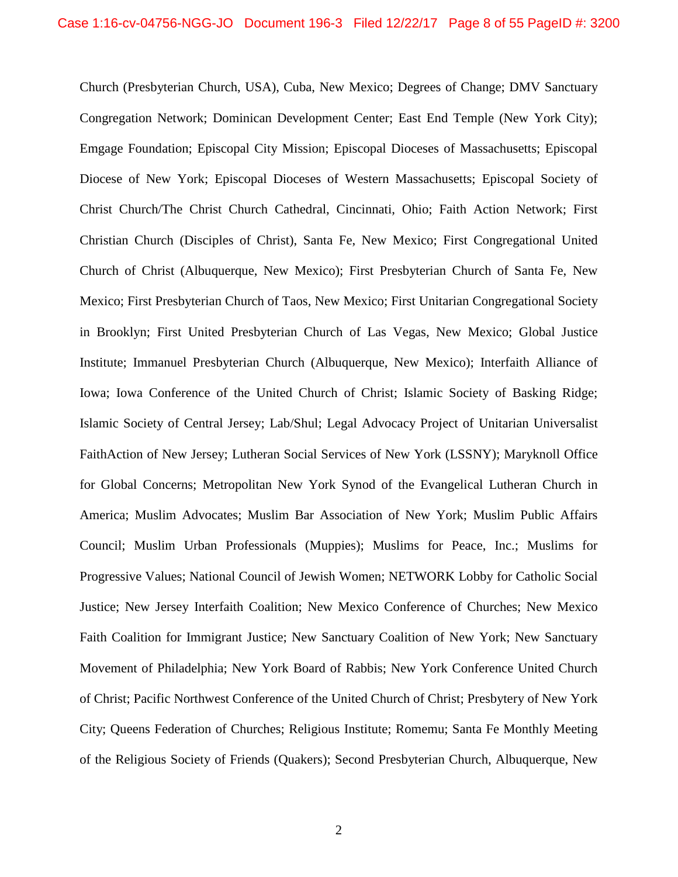Church (Presbyterian Church, USA), Cuba, New Mexico; Degrees of Change; DMV Sanctuary Congregation Network; Dominican Development Center; East End Temple (New York City); Emgage Foundation; Episcopal City Mission; Episcopal Dioceses of Massachusetts; Episcopal Diocese of New York; Episcopal Dioceses of Western Massachusetts; Episcopal Society of Christ Church/The Christ Church Cathedral, Cincinnati, Ohio; Faith Action Network; First Christian Church (Disciples of Christ), Santa Fe, New Mexico; First Congregational United Church of Christ (Albuquerque, New Mexico); First Presbyterian Church of Santa Fe, New Mexico; First Presbyterian Church of Taos, New Mexico; First Unitarian Congregational Society in Brooklyn; First United Presbyterian Church of Las Vegas, New Mexico; Global Justice Institute; Immanuel Presbyterian Church (Albuquerque, New Mexico); Interfaith Alliance of Iowa; Iowa Conference of the United Church of Christ; Islamic Society of Basking Ridge; Islamic Society of Central Jersey; Lab/Shul; Legal Advocacy Project of Unitarian Universalist FaithAction of New Jersey; Lutheran Social Services of New York (LSSNY); Maryknoll Office for Global Concerns; Metropolitan New York Synod of the Evangelical Lutheran Church in America; Muslim Advocates; Muslim Bar Association of New York; Muslim Public Affairs Council; Muslim Urban Professionals (Muppies); Muslims for Peace, Inc.; Muslims for Progressive Values; National Council of Jewish Women; NETWORK Lobby for Catholic Social Justice; New Jersey Interfaith Coalition; New Mexico Conference of Churches; New Mexico Faith Coalition for Immigrant Justice; New Sanctuary Coalition of New York; New Sanctuary Movement of Philadelphia; New York Board of Rabbis; New York Conference United Church of Christ; Pacific Northwest Conference of the United Church of Christ; Presbytery of New York City; Queens Federation of Churches; Religious Institute; Romemu; Santa Fe Monthly Meeting of the Religious Society of Friends (Quakers); Second Presbyterian Church, Albuquerque, New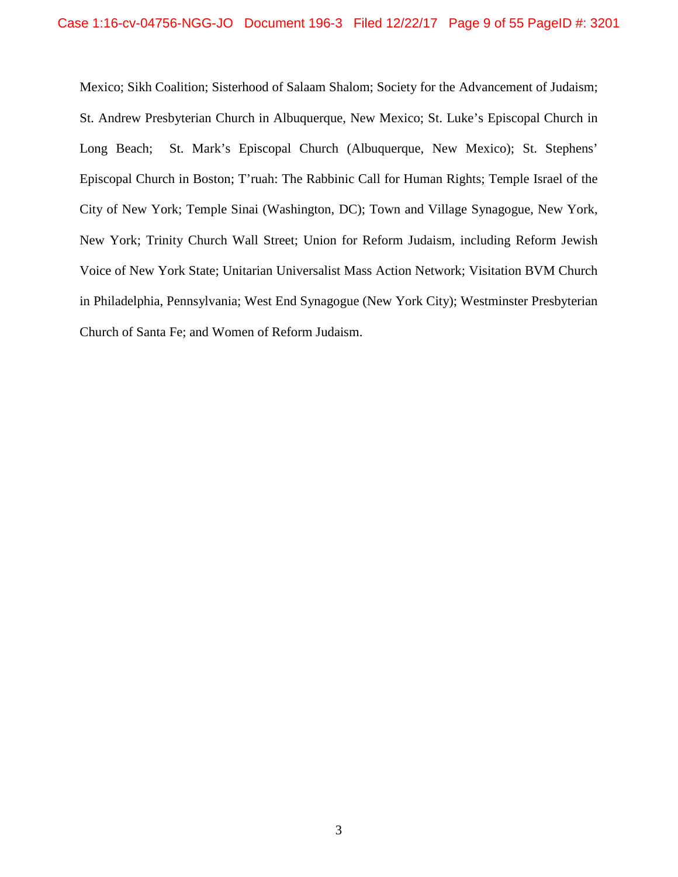Mexico; Sikh Coalition; Sisterhood of Salaam Shalom; Society for the Advancement of Judaism; St. Andrew Presbyterian Church in Albuquerque, New Mexico; St. Luke's Episcopal Church in Long Beach; St. Mark's Episcopal Church (Albuquerque, New Mexico); St. Stephens' Episcopal Church in Boston; T'ruah: The Rabbinic Call for Human Rights; Temple Israel of the City of New York; Temple Sinai (Washington, DC); Town and Village Synagogue, New York, New York; Trinity Church Wall Street; Union for Reform Judaism, including Reform Jewish Voice of New York State; Unitarian Universalist Mass Action Network; Visitation BVM Church in Philadelphia, Pennsylvania; West End Synagogue (New York City); Westminster Presbyterian Church of Santa Fe; and Women of Reform Judaism.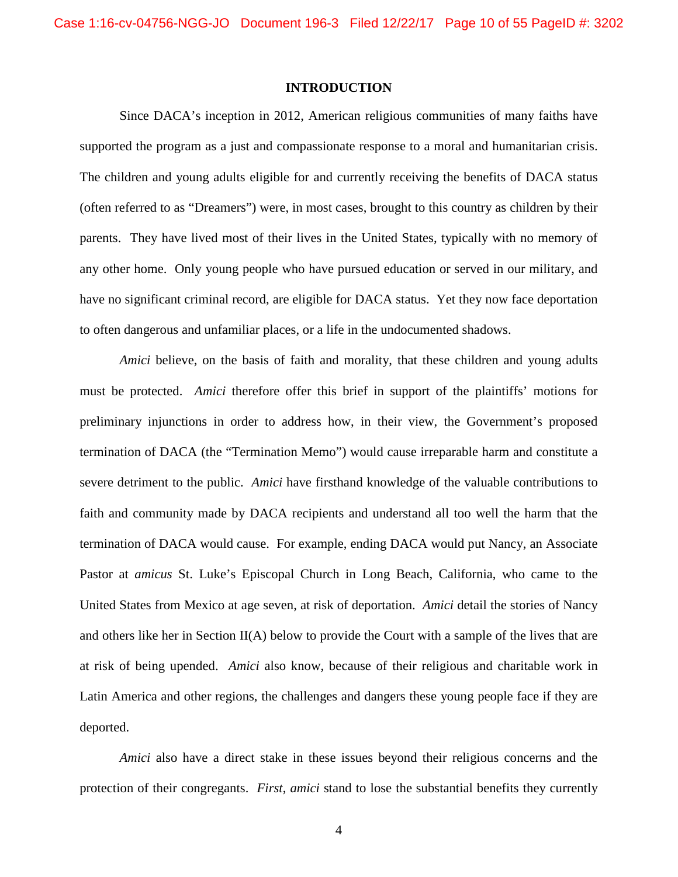### **INTRODUCTION**

Since DACA's inception in 2012, American religious communities of many faiths have supported the program as a just and compassionate response to a moral and humanitarian crisis. The children and young adults eligible for and currently receiving the benefits of DACA status (often referred to as "Dreamers") were, in most cases, brought to this country as children by their parents. They have lived most of their lives in the United States, typically with no memory of any other home. Only young people who have pursued education or served in our military, and have no significant criminal record, are eligible for DACA status. Yet they now face deportation to often dangerous and unfamiliar places, or a life in the undocumented shadows.

*Amici* believe, on the basis of faith and morality, that these children and young adults must be protected. *Amici* therefore offer this brief in support of the plaintiffs' motions for preliminary injunctions in order to address how, in their view, the Government's proposed termination of DACA (the "Termination Memo") would cause irreparable harm and constitute a severe detriment to the public. *Amici* have firsthand knowledge of the valuable contributions to faith and community made by DACA recipients and understand all too well the harm that the termination of DACA would cause. For example, ending DACA would put Nancy, an Associate Pastor at *amicus* St. Luke's Episcopal Church in Long Beach, California, who came to the United States from Mexico at age seven, at risk of deportation. *Amici* detail the stories of Nancy and others like her in Section II(A) below to provide the Court with a sample of the lives that are at risk of being upended. *Amici* also know, because of their religious and charitable work in Latin America and other regions, the challenges and dangers these young people face if they are deported.

*Amici* also have a direct stake in these issues beyond their religious concerns and the protection of their congregants. *First*, *amici* stand to lose the substantial benefits they currently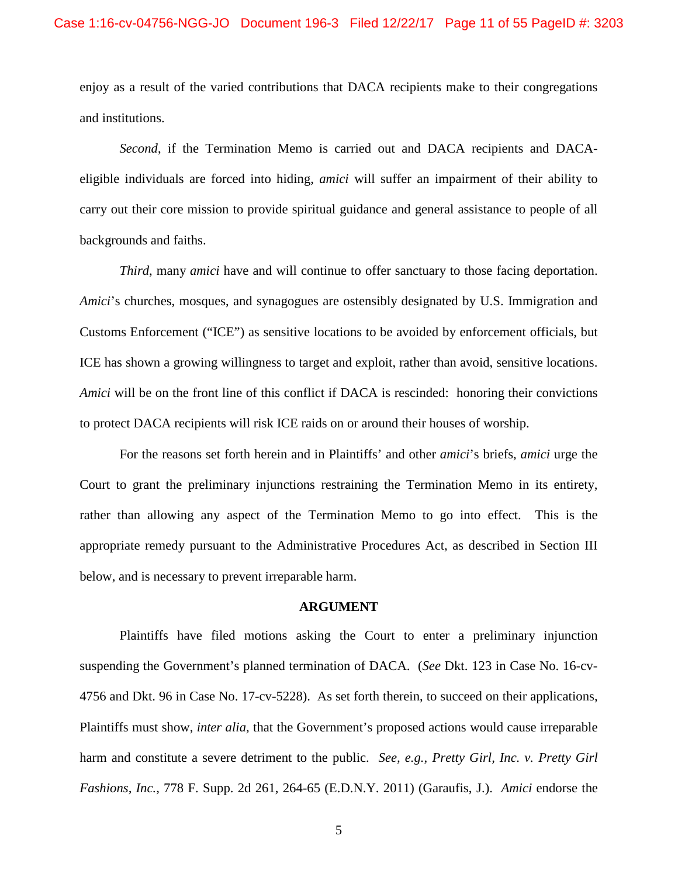enjoy as a result of the varied contributions that DACA recipients make to their congregations and institutions.

*Second*, if the Termination Memo is carried out and DACA recipients and DACAeligible individuals are forced into hiding, *amici* will suffer an impairment of their ability to carry out their core mission to provide spiritual guidance and general assistance to people of all backgrounds and faiths.

*Third*, many *amici* have and will continue to offer sanctuary to those facing deportation. *Amici*'s churches, mosques, and synagogues are ostensibly designated by U.S. Immigration and Customs Enforcement ("ICE") as sensitive locations to be avoided by enforcement officials, but ICE has shown a growing willingness to target and exploit, rather than avoid, sensitive locations. *Amici* will be on the front line of this conflict if DACA is rescinded: honoring their convictions to protect DACA recipients will risk ICE raids on or around their houses of worship.

For the reasons set forth herein and in Plaintiffs' and other *amici*'s briefs, *amici* urge the Court to grant the preliminary injunctions restraining the Termination Memo in its entirety, rather than allowing any aspect of the Termination Memo to go into effect. This is the appropriate remedy pursuant to the Administrative Procedures Act, as described in Section III below, and is necessary to prevent irreparable harm.

#### **ARGUMENT**

Plaintiffs have filed motions asking the Court to enter a preliminary injunction suspending the Government's planned termination of DACA. (*See* Dkt. 123 in Case No. 16-cv-4756 and Dkt. 96 in Case No. 17-cv-5228). As set forth therein, to succeed on their applications, Plaintiffs must show, *inter alia,* that the Government's proposed actions would cause irreparable harm and constitute a severe detriment to the public. *See, e.g., Pretty Girl, Inc. v. Pretty Girl Fashions, Inc.*, 778 F. Supp. 2d 261, 264-65 (E.D.N.Y. 2011) (Garaufis, J.). *Amici* endorse the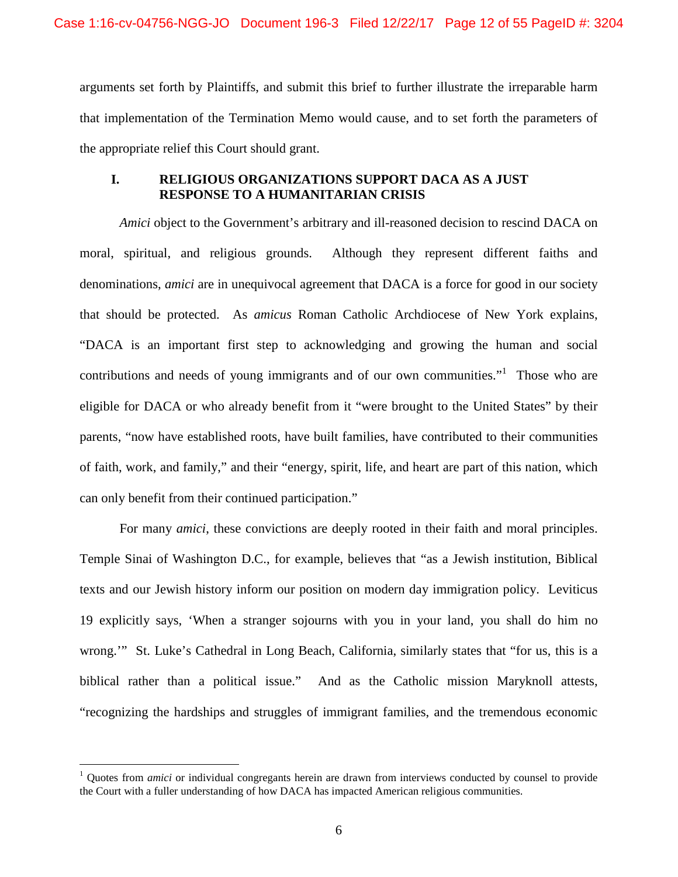arguments set forth by Plaintiffs, and submit this brief to further illustrate the irreparable harm that implementation of the Termination Memo would cause, and to set forth the parameters of the appropriate relief this Court should grant.

### **I. RELIGIOUS ORGANIZATIONS SUPPORT DACA AS A JUST RESPONSE TO A HUMANITARIAN CRISIS**

*Amici* object to the Government's arbitrary and ill-reasoned decision to rescind DACA on moral, spiritual, and religious grounds. Although they represent different faiths and denominations, *amici* are in unequivocal agreement that DACA is a force for good in our society that should be protected. As *amicus* Roman Catholic Archdiocese of New York explains, "DACA is an important first step to acknowledging and growing the human and social contributions and needs of young immigrants and of our own communities."<sup>1</sup> Those who are eligible for DACA or who already benefit from it "were brought to the United States" by their parents, "now have established roots, have built families, have contributed to their communities of faith, work, and family," and their "energy, spirit, life, and heart are part of this nation, which can only benefit from their continued participation."

For many *amici*, these convictions are deeply rooted in their faith and moral principles. Temple Sinai of Washington D.C., for example, believes that "as a Jewish institution, Biblical texts and our Jewish history inform our position on modern day immigration policy. Leviticus 19 explicitly says, 'When a stranger sojourns with you in your land, you shall do him no wrong.'" St. Luke's Cathedral in Long Beach, California, similarly states that "for us, this is a biblical rather than a political issue." And as the Catholic mission Maryknoll attests, "recognizing the hardships and struggles of immigrant families, and the tremendous economic

<sup>&</sup>lt;sup>1</sup> Quotes from *amici* or individual congregants herein are drawn from interviews conducted by counsel to provide the Court with a fuller understanding of how DACA has impacted American religious communities.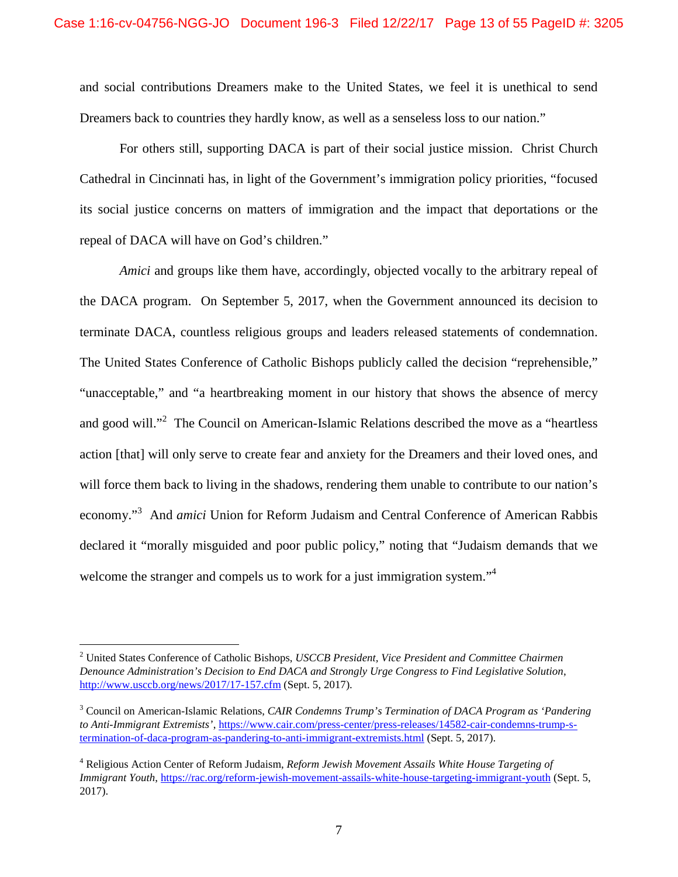and social contributions Dreamers make to the United States, we feel it is unethical to send Dreamers back to countries they hardly know, as well as a senseless loss to our nation."

For others still, supporting DACA is part of their social justice mission. Christ Church Cathedral in Cincinnati has, in light of the Government's immigration policy priorities, "focused its social justice concerns on matters of immigration and the impact that deportations or the repeal of DACA will have on God's children."

*Amici* and groups like them have, accordingly, objected vocally to the arbitrary repeal of the DACA program. On September 5, 2017, when the Government announced its decision to terminate DACA, countless religious groups and leaders released statements of condemnation. The United States Conference of Catholic Bishops publicly called the decision "reprehensible," "unacceptable," and "a heartbreaking moment in our history that shows the absence of mercy and good will."<sup>2</sup> The Council on American-Islamic Relations described the move as a "heartless action [that] will only serve to create fear and anxiety for the Dreamers and their loved ones, and will force them back to living in the shadows, rendering them unable to contribute to our nation's economy."<sup>3</sup> And *amici* Union for Reform Judaism and Central Conference of American Rabbis declared it "morally misguided and poor public policy," noting that "Judaism demands that we welcome the stranger and compels us to work for a just immigration system."<sup>4</sup>

<sup>2</sup> United States Conference of Catholic Bishops, *USCCB President, Vice President and Committee Chairmen Denounce Administration's Decision to End DACA and Strongly Urge Congress to Find Legislative Solution*, http://www.usccb.org/news/2017/17-157.cfm (Sept. 5, 2017).

<sup>3</sup> Council on American-Islamic Relations, *CAIR Condemns Trump's Termination of DACA Program as 'Pandering to Anti-Immigrant Extremists'*, https://www.cair.com/press-center/press-releases/14582-cair-condemns-trump-stermination-of-daca-program-as-pandering-to-anti-immigrant-extremists.html (Sept. 5, 2017).

<sup>4</sup> Religious Action Center of Reform Judaism, *Reform Jewish Movement Assails White House Targeting of Immigrant Youth*, https://rac.org/reform-jewish-movement-assails-white-house-targeting-immigrant-youth (Sept. 5, 2017).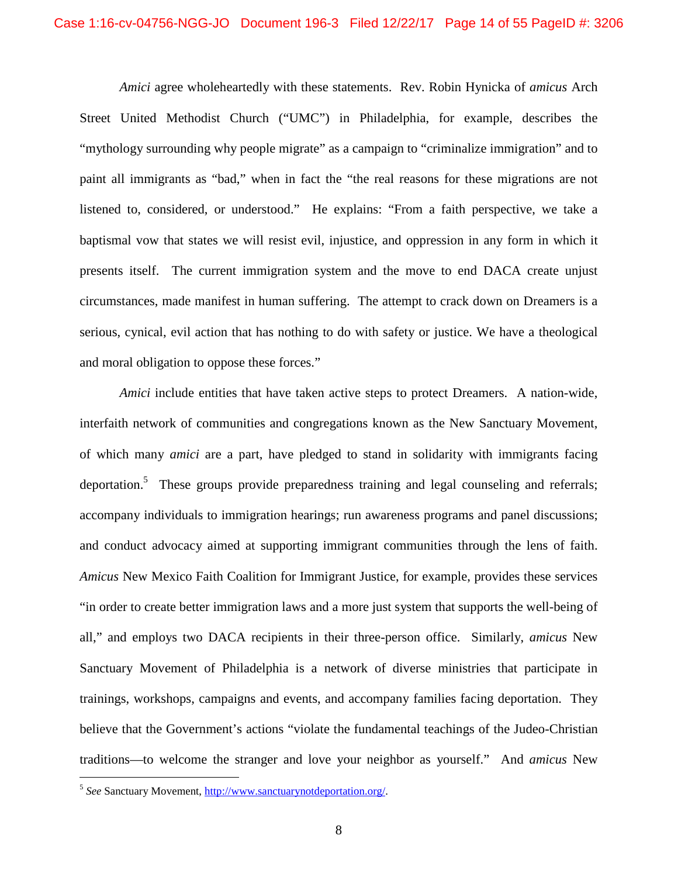*Amici* agree wholeheartedly with these statements. Rev. Robin Hynicka of *amicus* Arch Street United Methodist Church ("UMC") in Philadelphia, for example, describes the "mythology surrounding why people migrate" as a campaign to "criminalize immigration" and to paint all immigrants as "bad," when in fact the "the real reasons for these migrations are not listened to, considered, or understood." He explains: "From a faith perspective, we take a baptismal vow that states we will resist evil, injustice, and oppression in any form in which it presents itself. The current immigration system and the move to end DACA create unjust circumstances, made manifest in human suffering. The attempt to crack down on Dreamers is a serious, cynical, evil action that has nothing to do with safety or justice. We have a theological and moral obligation to oppose these forces."

*Amici* include entities that have taken active steps to protect Dreamers. A nation-wide, interfaith network of communities and congregations known as the New Sanctuary Movement, of which many *amici* are a part, have pledged to stand in solidarity with immigrants facing deportation.<sup>5</sup> These groups provide preparedness training and legal counseling and referrals; accompany individuals to immigration hearings; run awareness programs and panel discussions; and conduct advocacy aimed at supporting immigrant communities through the lens of faith. *Amicus* New Mexico Faith Coalition for Immigrant Justice, for example, provides these services "in order to create better immigration laws and a more just system that supports the well-being of all," and employs two DACA recipients in their three-person office. Similarly, *amicus* New Sanctuary Movement of Philadelphia is a network of diverse ministries that participate in trainings, workshops, campaigns and events, and accompany families facing deportation. They believe that the Government's actions "violate the fundamental teachings of the Judeo-Christian traditions—to welcome the stranger and love your neighbor as yourself." And *amicus* New

<sup>5</sup> *See* Sanctuary Movement, http://www.sanctuarynotdeportation.org/.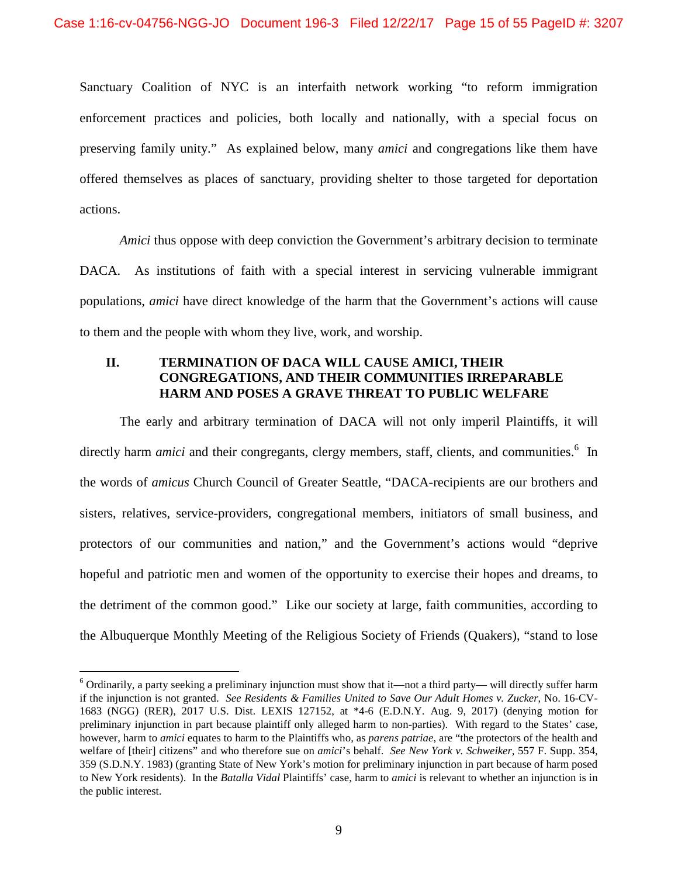Sanctuary Coalition of NYC is an interfaith network working "to reform immigration enforcement practices and policies, both locally and nationally, with a special focus on preserving family unity." As explained below, many *amici* and congregations like them have offered themselves as places of sanctuary, providing shelter to those targeted for deportation actions.

*Amici* thus oppose with deep conviction the Government's arbitrary decision to terminate DACA. As institutions of faith with a special interest in servicing vulnerable immigrant populations, *amici* have direct knowledge of the harm that the Government's actions will cause to them and the people with whom they live, work, and worship.

### **II. TERMINATION OF DACA WILL CAUSE AMICI, THEIR CONGREGATIONS, AND THEIR COMMUNITIES IRREPARABLE HARM AND POSES A GRAVE THREAT TO PUBLIC WELFARE**

The early and arbitrary termination of DACA will not only imperil Plaintiffs, it will directly harm *amici* and their congregants, clergy members, staff, clients, and communities.<sup>6</sup> In the words of *amicus* Church Council of Greater Seattle, "DACA-recipients are our brothers and sisters, relatives, service-providers, congregational members, initiators of small business, and protectors of our communities and nation," and the Government's actions would "deprive hopeful and patriotic men and women of the opportunity to exercise their hopes and dreams, to the detriment of the common good." Like our society at large, faith communities, according to the Albuquerque Monthly Meeting of the Religious Society of Friends (Quakers), "stand to lose

 $6$  Ordinarily, a party seeking a preliminary injunction must show that it—not a third party— will directly suffer harm if the injunction is not granted. *See Residents & Families United to Save Our Adult Homes v. Zucker*, No. 16-CV-1683 (NGG) (RER), 2017 U.S. Dist. LEXIS 127152, at \*4-6 (E.D.N.Y. Aug. 9, 2017) (denying motion for preliminary injunction in part because plaintiff only alleged harm to non-parties). With regard to the States' case, however, harm to *amici* equates to harm to the Plaintiffs who, as *parens patriae*, are "the protectors of the health and welfare of [their] citizens" and who therefore sue on *amici*'s behalf. *See New York v. Schweiker*, 557 F. Supp. 354, 359 (S.D.N.Y. 1983) (granting State of New York's motion for preliminary injunction in part because of harm posed to New York residents). In the *Batalla Vidal* Plaintiffs' case, harm to *amici* is relevant to whether an injunction is in the public interest.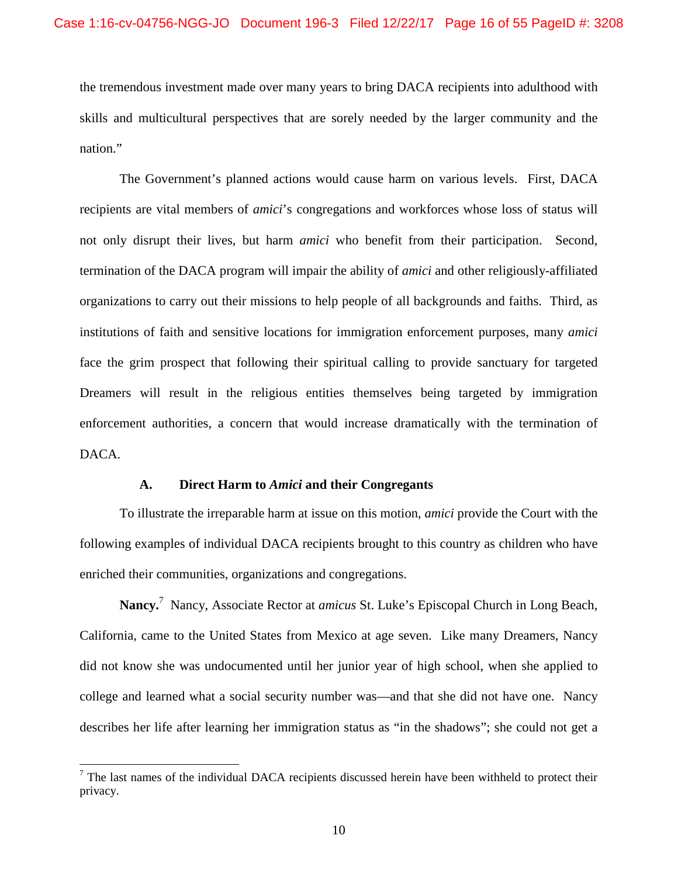the tremendous investment made over many years to bring DACA recipients into adulthood with skills and multicultural perspectives that are sorely needed by the larger community and the nation."

The Government's planned actions would cause harm on various levels. First, DACA recipients are vital members of *amici*'s congregations and workforces whose loss of status will not only disrupt their lives, but harm *amici* who benefit from their participation. Second, termination of the DACA program will impair the ability of *amici* and other religiously-affiliated organizations to carry out their missions to help people of all backgrounds and faiths. Third, as institutions of faith and sensitive locations for immigration enforcement purposes, many *amici* face the grim prospect that following their spiritual calling to provide sanctuary for targeted Dreamers will result in the religious entities themselves being targeted by immigration enforcement authorities, a concern that would increase dramatically with the termination of DACA.

### **A. Direct Harm to** *Amici* **and their Congregants**

To illustrate the irreparable harm at issue on this motion, *amici* provide the Court with the following examples of individual DACA recipients brought to this country as children who have enriched their communities, organizations and congregations.

**Nancy.**<sup>7</sup> Nancy, Associate Rector at *amicus* St. Luke's Episcopal Church in Long Beach, California, came to the United States from Mexico at age seven. Like many Dreamers, Nancy did not know she was undocumented until her junior year of high school, when she applied to college and learned what a social security number was—and that she did not have one. Nancy describes her life after learning her immigration status as "in the shadows"; she could not get a

 $<sup>7</sup>$  The last names of the individual DACA recipients discussed herein have been withheld to protect their</sup> privacy.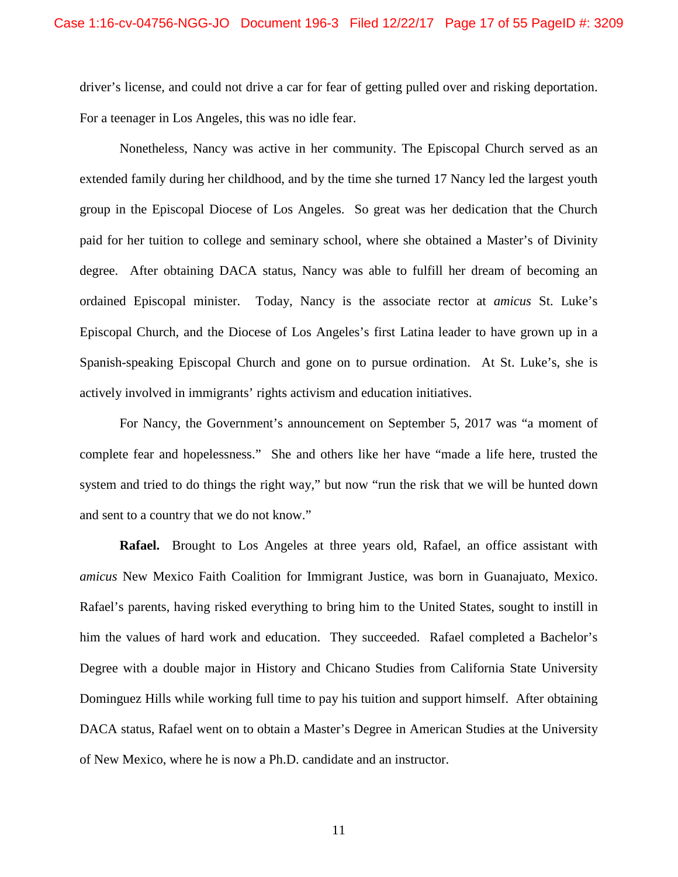driver's license, and could not drive a car for fear of getting pulled over and risking deportation. For a teenager in Los Angeles, this was no idle fear.

Nonetheless, Nancy was active in her community. The Episcopal Church served as an extended family during her childhood, and by the time she turned 17 Nancy led the largest youth group in the Episcopal Diocese of Los Angeles. So great was her dedication that the Church paid for her tuition to college and seminary school, where she obtained a Master's of Divinity degree. After obtaining DACA status, Nancy was able to fulfill her dream of becoming an ordained Episcopal minister. Today, Nancy is the associate rector at *amicus* St. Luke's Episcopal Church, and the Diocese of Los Angeles's first Latina leader to have grown up in a Spanish-speaking Episcopal Church and gone on to pursue ordination. At St. Luke's, she is actively involved in immigrants' rights activism and education initiatives.

For Nancy, the Government's announcement on September 5, 2017 was "a moment of complete fear and hopelessness." She and others like her have "made a life here, trusted the system and tried to do things the right way," but now "run the risk that we will be hunted down and sent to a country that we do not know."

**Rafael.** Brought to Los Angeles at three years old, Rafael, an office assistant with *amicus* New Mexico Faith Coalition for Immigrant Justice, was born in Guanajuato, Mexico. Rafael's parents, having risked everything to bring him to the United States, sought to instill in him the values of hard work and education. They succeeded. Rafael completed a Bachelor's Degree with a double major in History and Chicano Studies from California State University Dominguez Hills while working full time to pay his tuition and support himself. After obtaining DACA status, Rafael went on to obtain a Master's Degree in American Studies at the University of New Mexico, where he is now a Ph.D. candidate and an instructor.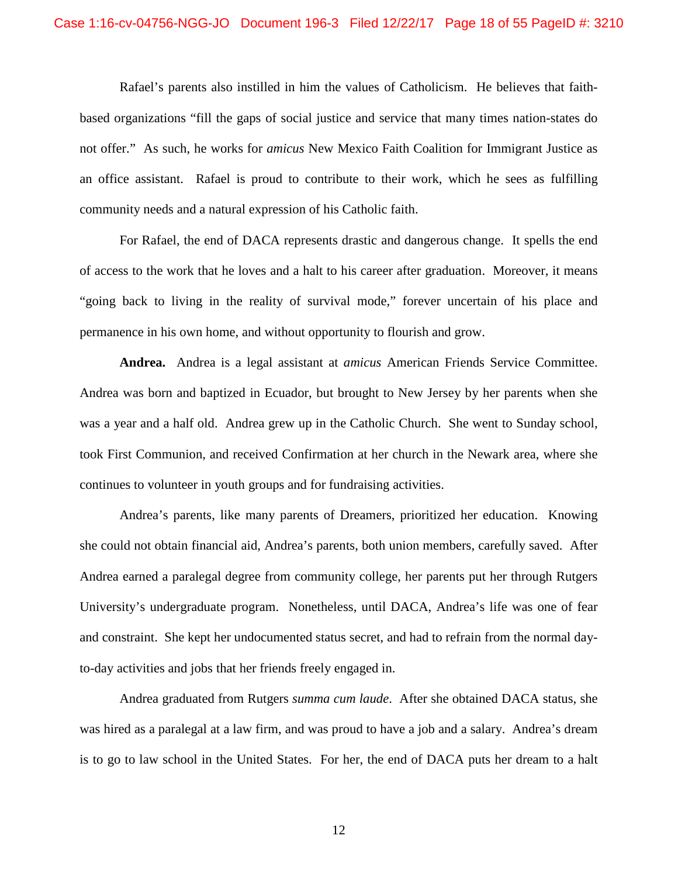Rafael's parents also instilled in him the values of Catholicism. He believes that faithbased organizations "fill the gaps of social justice and service that many times nation-states do not offer." As such, he works for *amicus* New Mexico Faith Coalition for Immigrant Justice as an office assistant. Rafael is proud to contribute to their work, which he sees as fulfilling community needs and a natural expression of his Catholic faith.

For Rafael, the end of DACA represents drastic and dangerous change. It spells the end of access to the work that he loves and a halt to his career after graduation. Moreover, it means "going back to living in the reality of survival mode," forever uncertain of his place and permanence in his own home, and without opportunity to flourish and grow.

**Andrea.** Andrea is a legal assistant at *amicus* American Friends Service Committee. Andrea was born and baptized in Ecuador, but brought to New Jersey by her parents when she was a year and a half old. Andrea grew up in the Catholic Church. She went to Sunday school, took First Communion, and received Confirmation at her church in the Newark area, where she continues to volunteer in youth groups and for fundraising activities.

Andrea's parents, like many parents of Dreamers, prioritized her education. Knowing she could not obtain financial aid, Andrea's parents, both union members, carefully saved. After Andrea earned a paralegal degree from community college, her parents put her through Rutgers University's undergraduate program. Nonetheless, until DACA, Andrea's life was one of fear and constraint. She kept her undocumented status secret, and had to refrain from the normal dayto-day activities and jobs that her friends freely engaged in.

Andrea graduated from Rutgers *summa cum laude*. After she obtained DACA status, she was hired as a paralegal at a law firm, and was proud to have a job and a salary. Andrea's dream is to go to law school in the United States. For her, the end of DACA puts her dream to a halt

12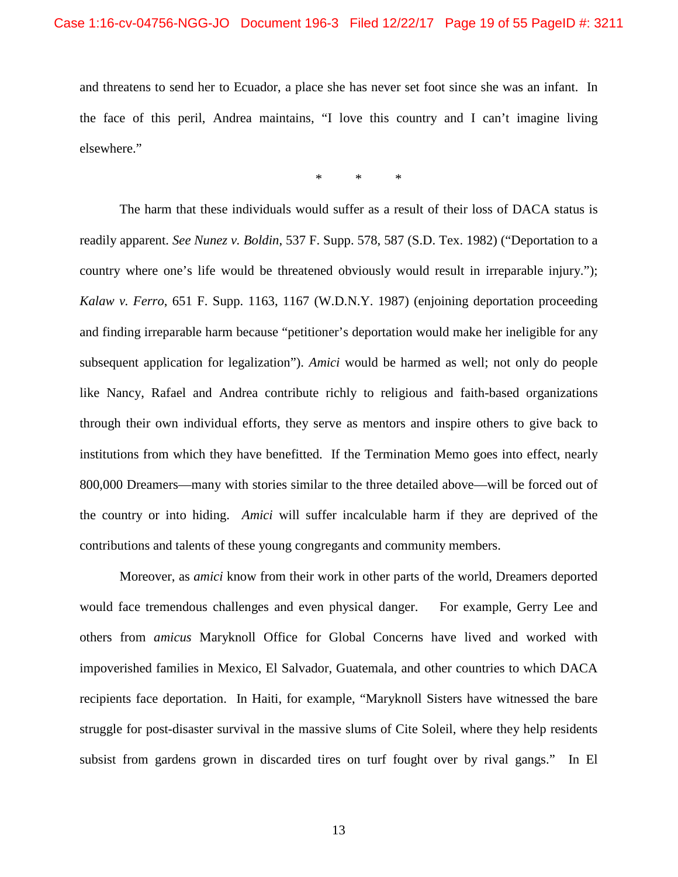and threatens to send her to Ecuador, a place she has never set foot since she was an infant. In the face of this peril, Andrea maintains, "I love this country and I can't imagine living elsewhere."

\* \* \*

The harm that these individuals would suffer as a result of their loss of DACA status is readily apparent. *See Nunez v. Boldin*, 537 F. Supp. 578, 587 (S.D. Tex. 1982) ("Deportation to a country where one's life would be threatened obviously would result in irreparable injury."); *Kalaw v. Ferro*, 651 F. Supp. 1163, 1167 (W.D.N.Y. 1987) (enjoining deportation proceeding and finding irreparable harm because "petitioner's deportation would make her ineligible for any subsequent application for legalization"). *Amici* would be harmed as well; not only do people like Nancy, Rafael and Andrea contribute richly to religious and faith-based organizations through their own individual efforts, they serve as mentors and inspire others to give back to institutions from which they have benefitted. If the Termination Memo goes into effect, nearly 800,000 Dreamers—many with stories similar to the three detailed above—will be forced out of the country or into hiding. *Amici* will suffer incalculable harm if they are deprived of the contributions and talents of these young congregants and community members.

Moreover, as *amici* know from their work in other parts of the world, Dreamers deported would face tremendous challenges and even physical danger. For example, Gerry Lee and others from *amicus* Maryknoll Office for Global Concerns have lived and worked with impoverished families in Mexico, El Salvador, Guatemala, and other countries to which DACA recipients face deportation. In Haiti, for example, "Maryknoll Sisters have witnessed the bare struggle for post-disaster survival in the massive slums of Cite Soleil, where they help residents subsist from gardens grown in discarded tires on turf fought over by rival gangs." In El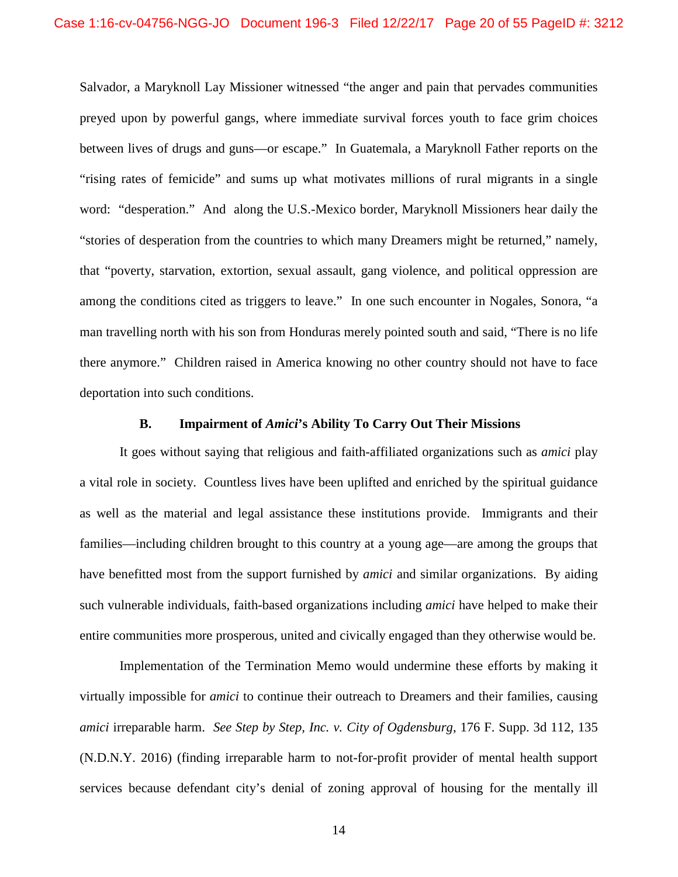Salvador, a Maryknoll Lay Missioner witnessed "the anger and pain that pervades communities preyed upon by powerful gangs, where immediate survival forces youth to face grim choices between lives of drugs and guns—or escape." In Guatemala, a Maryknoll Father reports on the "rising rates of femicide" and sums up what motivates millions of rural migrants in a single word: "desperation." And along the U.S.-Mexico border, Maryknoll Missioners hear daily the "stories of desperation from the countries to which many Dreamers might be returned," namely, that "poverty, starvation, extortion, sexual assault, gang violence, and political oppression are among the conditions cited as triggers to leave." In one such encounter in Nogales, Sonora, "a man travelling north with his son from Honduras merely pointed south and said, "There is no life there anymore." Children raised in America knowing no other country should not have to face deportation into such conditions.

#### **B. Impairment of** *Amici***'s Ability To Carry Out Their Missions**

It goes without saying that religious and faith-affiliated organizations such as *amici* play a vital role in society. Countless lives have been uplifted and enriched by the spiritual guidance as well as the material and legal assistance these institutions provide. Immigrants and their families—including children brought to this country at a young age—are among the groups that have benefitted most from the support furnished by *amici* and similar organizations. By aiding such vulnerable individuals, faith-based organizations including *amici* have helped to make their entire communities more prosperous, united and civically engaged than they otherwise would be.

Implementation of the Termination Memo would undermine these efforts by making it virtually impossible for *amici* to continue their outreach to Dreamers and their families, causing *amici* irreparable harm. *See Step by Step, Inc. v. City of Ogdensburg*, 176 F. Supp. 3d 112, 135 (N.D.N.Y. 2016) (finding irreparable harm to not-for-profit provider of mental health support services because defendant city's denial of zoning approval of housing for the mentally ill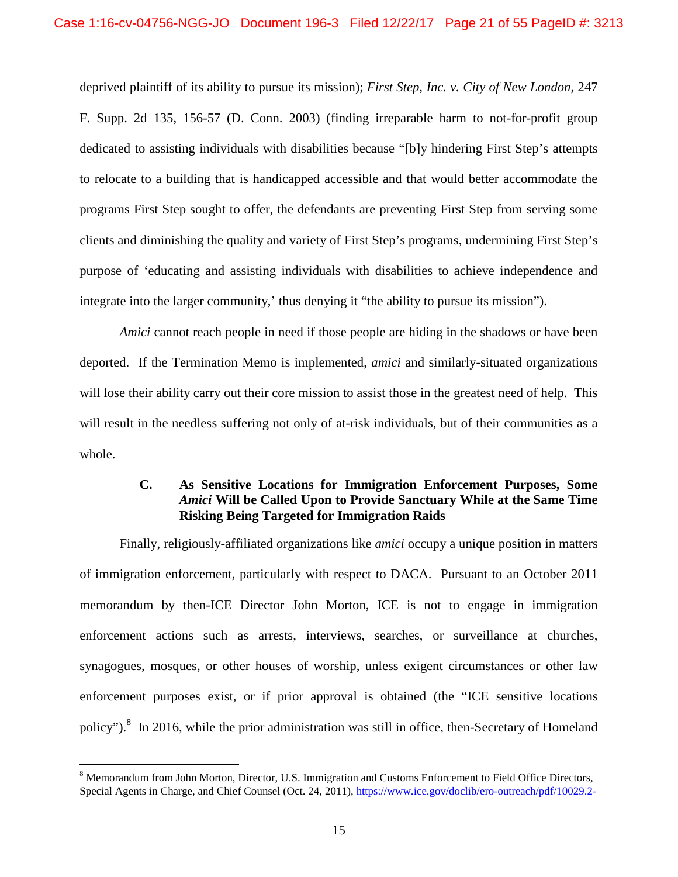deprived plaintiff of its ability to pursue its mission); *First Step, Inc. v. City of New London*, 247 F. Supp. 2d 135, 156-57 (D. Conn. 2003) (finding irreparable harm to not-for-profit group dedicated to assisting individuals with disabilities because "[b]y hindering First Step's attempts to relocate to a building that is handicapped accessible and that would better accommodate the programs First Step sought to offer, the defendants are preventing First Step from serving some clients and diminishing the quality and variety of First Step's programs, undermining First Step's purpose of 'educating and assisting individuals with disabilities to achieve independence and integrate into the larger community,' thus denying it "the ability to pursue its mission").

*Amici* cannot reach people in need if those people are hiding in the shadows or have been deported. If the Termination Memo is implemented, *amici* and similarly-situated organizations will lose their ability carry out their core mission to assist those in the greatest need of help. This will result in the needless suffering not only of at-risk individuals, but of their communities as a whole.

### **C. As Sensitive Locations for Immigration Enforcement Purposes, Some** *Amici* **Will be Called Upon to Provide Sanctuary While at the Same Time Risking Being Targeted for Immigration Raids**

Finally, religiously-affiliated organizations like *amici* occupy a unique position in matters of immigration enforcement, particularly with respect to DACA. Pursuant to an October 2011 memorandum by then-ICE Director John Morton, ICE is not to engage in immigration enforcement actions such as arrests, interviews, searches, or surveillance at churches, synagogues, mosques, or other houses of worship, unless exigent circumstances or other law enforcement purposes exist, or if prior approval is obtained (the "ICE sensitive locations policy").<sup>8</sup> In 2016, while the prior administration was still in office, then-Secretary of Homeland

<sup>&</sup>lt;sup>8</sup> Memorandum from John Morton, Director, U.S. Immigration and Customs Enforcement to Field Office Directors, Special Agents in Charge, and Chief Counsel (Oct. 24, 2011), https://www.ice.gov/doclib/ero-outreach/pdf/10029.2-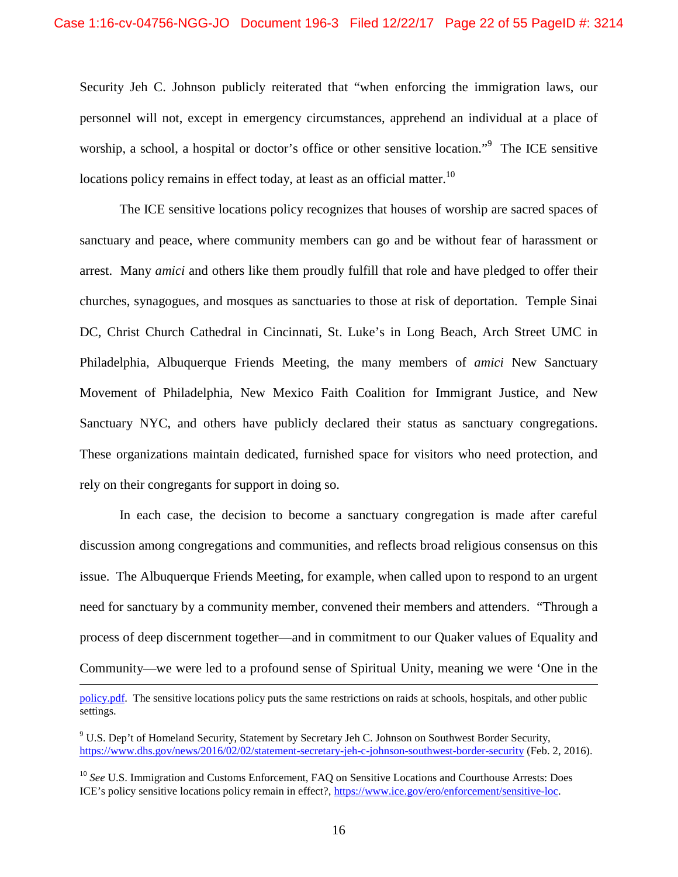Security Jeh C. Johnson publicly reiterated that "when enforcing the immigration laws, our personnel will not, except in emergency circumstances, apprehend an individual at a place of worship, a school, a hospital or doctor's office or other sensitive location."<sup>9</sup> The ICE sensitive locations policy remains in effect today, at least as an official matter.<sup>10</sup>

The ICE sensitive locations policy recognizes that houses of worship are sacred spaces of sanctuary and peace, where community members can go and be without fear of harassment or arrest. Many *amici* and others like them proudly fulfill that role and have pledged to offer their churches, synagogues, and mosques as sanctuaries to those at risk of deportation. Temple Sinai DC, Christ Church Cathedral in Cincinnati, St. Luke's in Long Beach, Arch Street UMC in Philadelphia, Albuquerque Friends Meeting, the many members of *amici* New Sanctuary Movement of Philadelphia, New Mexico Faith Coalition for Immigrant Justice, and New Sanctuary NYC, and others have publicly declared their status as sanctuary congregations. These organizations maintain dedicated, furnished space for visitors who need protection, and rely on their congregants for support in doing so.

In each case, the decision to become a sanctuary congregation is made after careful discussion among congregations and communities, and reflects broad religious consensus on this issue. The Albuquerque Friends Meeting, for example, when called upon to respond to an urgent need for sanctuary by a community member, convened their members and attenders. "Through a process of deep discernment together—and in commitment to our Quaker values of Equality and Community—we were led to a profound sense of Spiritual Unity, meaning we were 'One in the

policy.pdf. The sensitive locations policy puts the same restrictions on raids at schools, hospitals, and other public settings.

<sup>9</sup> U.S. Dep't of Homeland Security, Statement by Secretary Jeh C. Johnson on Southwest Border Security, https://www.dhs.gov/news/2016/02/02/statement-secretary-jeh-c-johnson-southwest-border-security (Feb. 2, 2016).

<sup>&</sup>lt;sup>10</sup> See U.S. Immigration and Customs Enforcement, FAQ on Sensitive Locations and Courthouse Arrests: Does ICE's policy sensitive locations policy remain in effect?, https://www.ice.gov/ero/enforcement/sensitive-loc.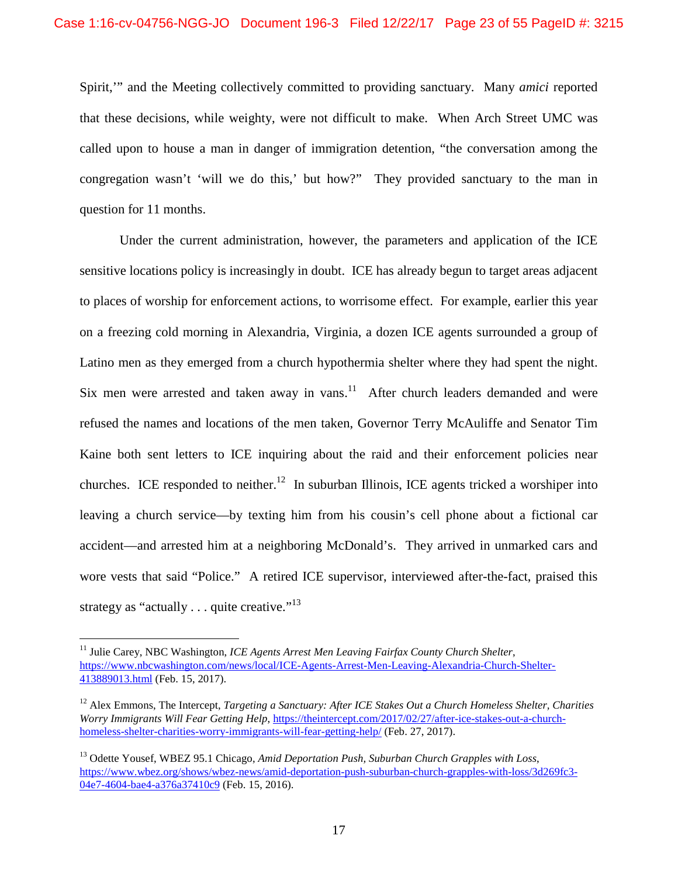Spirit,'" and the Meeting collectively committed to providing sanctuary. Many *amici* reported that these decisions, while weighty, were not difficult to make. When Arch Street UMC was called upon to house a man in danger of immigration detention, "the conversation among the congregation wasn't 'will we do this,' but how?" They provided sanctuary to the man in question for 11 months.

Under the current administration, however, the parameters and application of the ICE sensitive locations policy is increasingly in doubt. ICE has already begun to target areas adjacent to places of worship for enforcement actions, to worrisome effect. For example, earlier this year on a freezing cold morning in Alexandria, Virginia, a dozen ICE agents surrounded a group of Latino men as they emerged from a church hypothermia shelter where they had spent the night. Six men were arrested and taken away in vans. $11$  After church leaders demanded and were refused the names and locations of the men taken, Governor Terry McAuliffe and Senator Tim Kaine both sent letters to ICE inquiring about the raid and their enforcement policies near churches. ICE responded to neither.<sup>12</sup> In suburban Illinois, ICE agents tricked a worshiper into leaving a church service—by texting him from his cousin's cell phone about a fictional car accident—and arrested him at a neighboring McDonald's. They arrived in unmarked cars and wore vests that said "Police." A retired ICE supervisor, interviewed after-the-fact, praised this strategy as "actually  $\dots$  quite creative."<sup>13</sup>

<sup>&</sup>lt;sup>11</sup> Julie Carey, NBC Washington, *ICE Agents Arrest Men Leaving Fairfax County Church Shelter*, https://www.nbcwashington.com/news/local/ICE-Agents-Arrest-Men-Leaving-Alexandria-Church-Shelter-413889013.html (Feb. 15, 2017).

<sup>12</sup> Alex Emmons, The Intercept, *Targeting a Sanctuary: After ICE Stakes Out a Church Homeless Shelter, Charities Worry Immigrants Will Fear Getting Help*, https://theintercept.com/2017/02/27/after-ice-stakes-out-a-churchhomeless-shelter-charities-worry-immigrants-will-fear-getting-help/ (Feb. 27, 2017).

<sup>13</sup> Odette Yousef, WBEZ 95.1 Chicago, *Amid Deportation Push, Suburban Church Grapples with Loss*, https://www.wbez.org/shows/wbez-news/amid-deportation-push-suburban-church-grapples-with-loss/3d269fc3- 04e7-4604-bae4-a376a37410c9 (Feb. 15, 2016).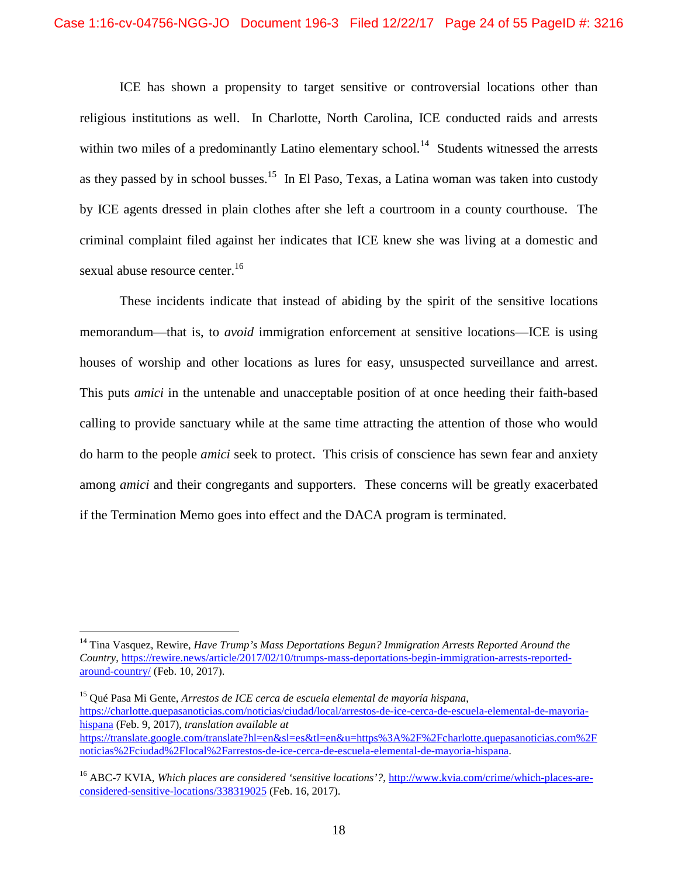ICE has shown a propensity to target sensitive or controversial locations other than religious institutions as well. In Charlotte, North Carolina, ICE conducted raids and arrests within two miles of a predominantly Latino elementary school.<sup>14</sup> Students witnessed the arrests as they passed by in school busses.<sup>15</sup> In El Paso, Texas, a Latina woman was taken into custody by ICE agents dressed in plain clothes after she left a courtroom in a county courthouse. The criminal complaint filed against her indicates that ICE knew she was living at a domestic and sexual abuse resource center.<sup>16</sup>

These incidents indicate that instead of abiding by the spirit of the sensitive locations memorandum—that is, to *avoid* immigration enforcement at sensitive locations—ICE is using houses of worship and other locations as lures for easy, unsuspected surveillance and arrest. This puts *amici* in the untenable and unacceptable position of at once heeding their faith-based calling to provide sanctuary while at the same time attracting the attention of those who would do harm to the people *amici* seek to protect. This crisis of conscience has sewn fear and anxiety among *amici* and their congregants and supporters. These concerns will be greatly exacerbated if the Termination Memo goes into effect and the DACA program is terminated.

<sup>&</sup>lt;sup>14</sup> Tina Vasquez, Rewire, *Have Trump's Mass Deportations Begun? Immigration Arrests Reported Around the Country*, https://rewire.news/article/2017/02/10/trumps-mass-deportations-begin-immigration-arrests-reportedaround-country/ (Feb. 10, 2017).

<sup>15</sup> Qué Pasa Mi Gente, *Arrestos de ICE cerca de escuela elemental de mayoría hispana*, https://charlotte.quepasanoticias.com/noticias/ciudad/local/arrestos-de-ice-cerca-de-escuela-elemental-de-mayoriahispana (Feb. 9, 2017), *translation available at* https://translate.google.com/translate?hl=en&sl=es&tl=en&u=https%3A%2F%2Fcharlotte.quepasanoticias.com%2F noticias%2Fciudad%2Flocal%2Farrestos-de-ice-cerca-de-escuela-elemental-de-mayoria-hispana.

<sup>&</sup>lt;sup>16</sup> ABC-7 KVIA, *Which places are considered 'sensitive locations'?*, http://www.kvia.com/crime/which-places-areconsidered-sensitive-locations/338319025 (Feb. 16, 2017).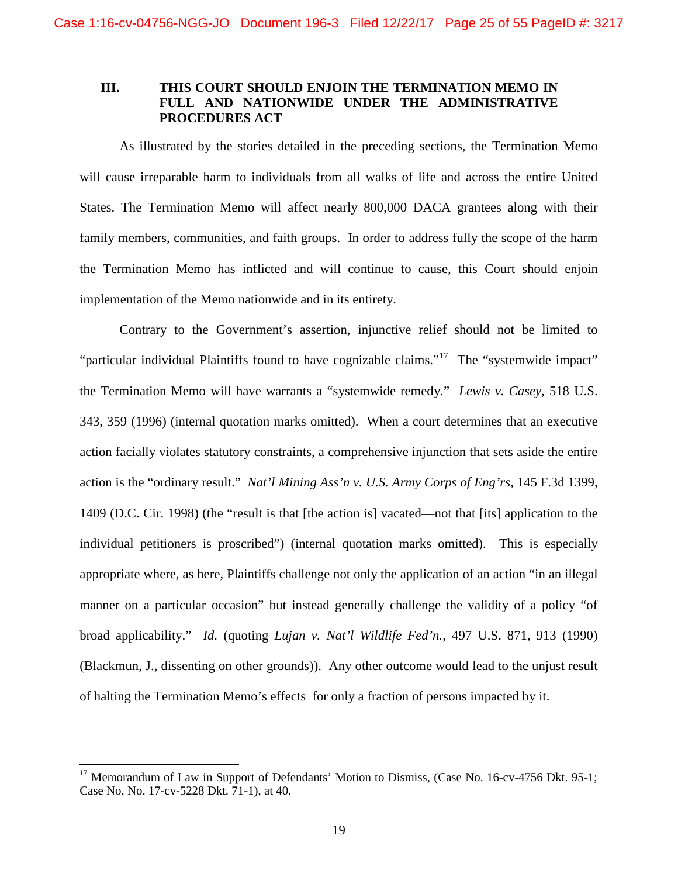### **III. THIS COURT SHOULD ENJOIN THE TERMINATION MEMO IN FULL AND NATIONWIDE UNDER THE ADMINISTRATIVE PROCEDURES ACT**

As illustrated by the stories detailed in the preceding sections, the Termination Memo will cause irreparable harm to individuals from all walks of life and across the entire United States. The Termination Memo will affect nearly 800,000 DACA grantees along with their family members, communities, and faith groups. In order to address fully the scope of the harm the Termination Memo has inflicted and will continue to cause, this Court should enjoin implementation of the Memo nationwide and in its entirety.

Contrary to the Government's assertion, injunctive relief should not be limited to "particular individual Plaintiffs found to have cognizable claims."<sup>17</sup> The "systemwide impact" the Termination Memo will have warrants a "systemwide remedy." *Lewis v. Casey,* 518 U.S. 343, 359 (1996) (internal quotation marks omitted). When a court determines that an executive action facially violates statutory constraints, a comprehensive injunction that sets aside the entire action is the "ordinary result." *Nat'l Mining Ass'n v. U.S. Army Corps of Eng'rs,* 145 F.3d 1399, 1409 (D.C. Cir. 1998) (the "result is that [the action is] vacated—not that [its] application to the individual petitioners is proscribed") (internal quotation marks omitted). This is especially appropriate where, as here, Plaintiffs challenge not only the application of an action "in an illegal manner on a particular occasion" but instead generally challenge the validity of a policy "of broad applicability." *Id.* (quoting *Lujan v. Nat'l Wildlife Fed'n.,* 497 U.S. 871, 913 (1990) (Blackmun, J., dissenting on other grounds)). Any other outcome would lead to the unjust result of halting the Termination Memo's effects for only a fraction of persons impacted by it.

<sup>&</sup>lt;sup>17</sup> Memorandum of Law in Support of Defendants' Motion to Dismiss, (Case No. 16-cv-4756 Dkt. 95-1; Case No. No. 17-cv-5228 Dkt. 71-1), at 40.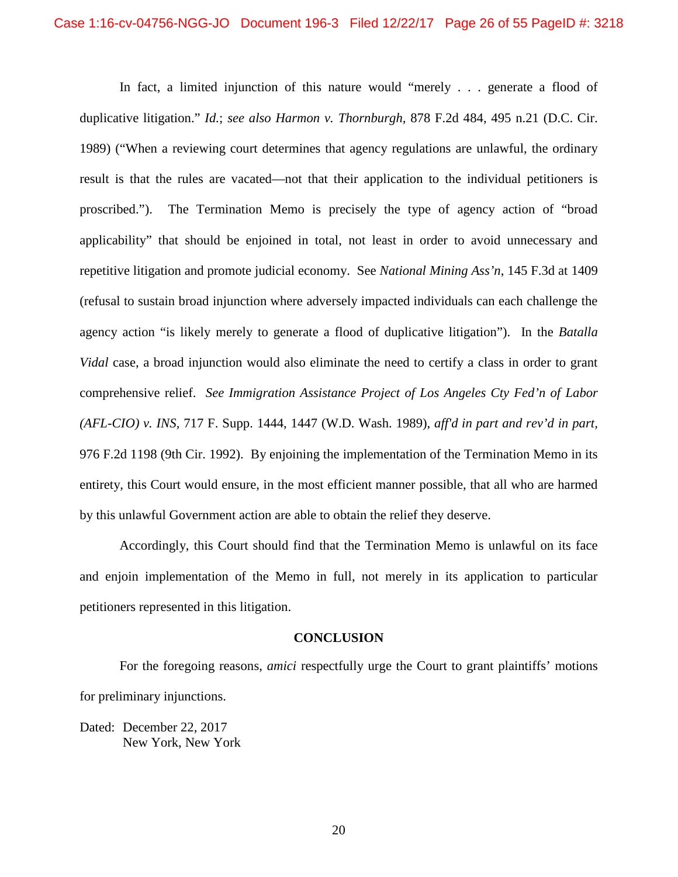In fact, a limited injunction of this nature would "merely . . . generate a flood of duplicative litigation." *Id.*; *see also Harmon v. Thornburgh,* 878 F.2d 484, 495 n.21 (D.C. Cir. 1989) ("When a reviewing court determines that agency regulations are unlawful, the ordinary result is that the rules are vacated—not that their application to the individual petitioners is proscribed."). The Termination Memo is precisely the type of agency action of "broad applicability" that should be enjoined in total, not least in order to avoid unnecessary and repetitive litigation and promote judicial economy. See *National Mining Ass'n*, 145 F.3d at 1409 (refusal to sustain broad injunction where adversely impacted individuals can each challenge the agency action "is likely merely to generate a flood of duplicative litigation"). In the *Batalla Vidal* case, a broad injunction would also eliminate the need to certify a class in order to grant comprehensive relief. *See Immigration Assistance Project of Los Angeles Cty Fed'n of Labor (AFL-CIO) v. INS,* 717 F. Supp. 1444, 1447 (W.D. Wash. 1989), *aff'd in part and rev'd in part,* 976 F.2d 1198 (9th Cir. 1992). By enjoining the implementation of the Termination Memo in its entirety, this Court would ensure, in the most efficient manner possible, that all who are harmed by this unlawful Government action are able to obtain the relief they deserve.

Accordingly, this Court should find that the Termination Memo is unlawful on its face and enjoin implementation of the Memo in full, not merely in its application to particular petitioners represented in this litigation.

#### **CONCLUSION**

For the foregoing reasons, *amici* respectfully urge the Court to grant plaintiffs' motions for preliminary injunctions.

Dated: December 22, 2017 New York, New York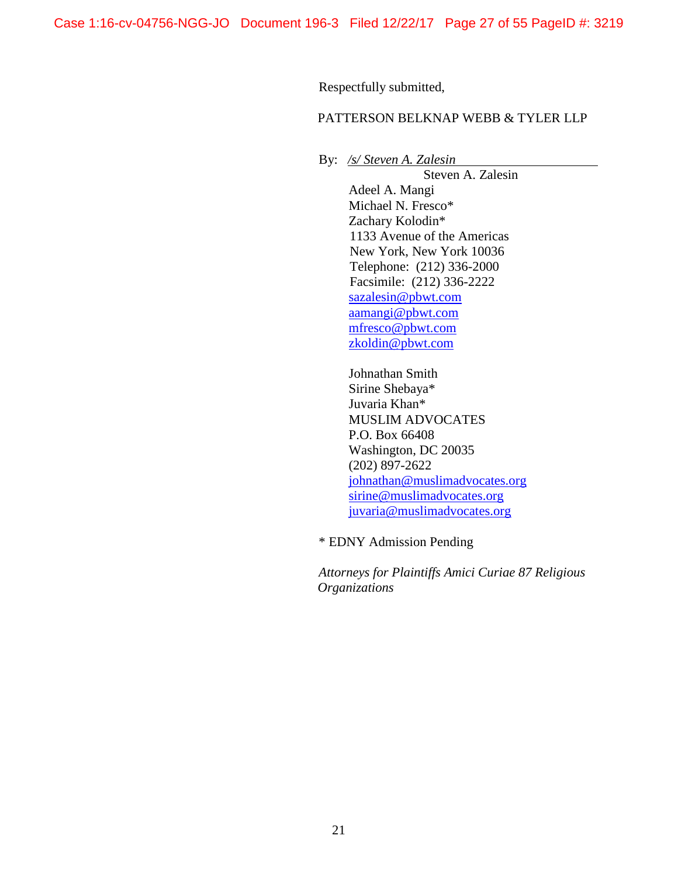Respectfully submitted,

### PATTERSON BELKNAP WEBB & TYLER LLP

By: */s/ Steven A. Zalesin*

Steven A. Zalesin Adeel A. Mangi Michael N. Fresco\* Zachary Kolodin\* 1133 Avenue of the Americas New York, New York 10036 Telephone: (212) 336-2000 Facsimile: (212) 336-2222 sazalesin@pbwt.com aamangi@pbwt.com mfresco@pbwt.com zkoldin@pbwt.com

Johnathan Smith Sirine Shebaya\* Juvaria Khan\* MUSLIM ADVOCATES P.O. Box 66408 Washington, DC 20035 (202) 897-2622 johnathan@muslimadvocates.org sirine@muslimadvocates.org juvaria@muslimadvocates.org

\* EDNY Admission Pending

*Attorneys for Plaintiffs Amici Curiae 87 Religious Organizations*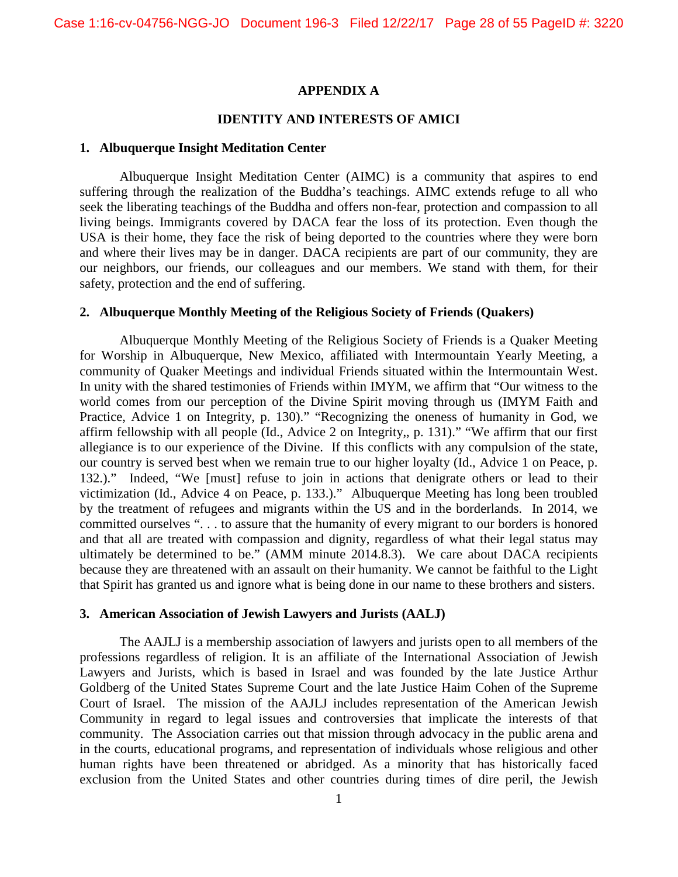### **APPENDIX A**

#### **IDENTITY AND INTERESTS OF AMICI**

#### **1. Albuquerque Insight Meditation Center**

Albuquerque Insight Meditation Center (AIMC) is a community that aspires to end suffering through the realization of the Buddha's teachings. AIMC extends refuge to all who seek the liberating teachings of the Buddha and offers non-fear, protection and compassion to all living beings. Immigrants covered by DACA fear the loss of its protection. Even though the USA is their home, they face the risk of being deported to the countries where they were born and where their lives may be in danger. DACA recipients are part of our community, they are our neighbors, our friends, our colleagues and our members. We stand with them, for their safety, protection and the end of suffering.

### **2. Albuquerque Monthly Meeting of the Religious Society of Friends (Quakers)**

Albuquerque Monthly Meeting of the Religious Society of Friends is a Quaker Meeting for Worship in Albuquerque, New Mexico, affiliated with Intermountain Yearly Meeting, a community of Quaker Meetings and individual Friends situated within the Intermountain West. In unity with the shared testimonies of Friends within IMYM, we affirm that "Our witness to the world comes from our perception of the Divine Spirit moving through us (IMYM Faith and Practice, Advice 1 on Integrity, p. 130)." "Recognizing the oneness of humanity in God, we affirm fellowship with all people (Id., Advice 2 on Integrity,, p. 131)." "We affirm that our first allegiance is to our experience of the Divine. If this conflicts with any compulsion of the state, our country is served best when we remain true to our higher loyalty (Id., Advice 1 on Peace, p. 132.)." Indeed, "We [must] refuse to join in actions that denigrate others or lead to their victimization (Id., Advice 4 on Peace, p. 133.)." Albuquerque Meeting has long been troubled by the treatment of refugees and migrants within the US and in the borderlands. In 2014, we committed ourselves ". . . to assure that the humanity of every migrant to our borders is honored and that all are treated with compassion and dignity, regardless of what their legal status may ultimately be determined to be." (AMM minute 2014.8.3). We care about DACA recipients because they are threatened with an assault on their humanity. We cannot be faithful to the Light that Spirit has granted us and ignore what is being done in our name to these brothers and sisters.

### **3. American Association of Jewish Lawyers and Jurists (AALJ)**

The AAJLJ is a membership association of lawyers and jurists open to all members of the professions regardless of religion. It is an affiliate of the International Association of Jewish Lawyers and Jurists, which is based in Israel and was founded by the late Justice Arthur Goldberg of the United States Supreme Court and the late Justice Haim Cohen of the Supreme Court of Israel. The mission of the AAJLJ includes representation of the American Jewish Community in regard to legal issues and controversies that implicate the interests of that community. The Association carries out that mission through advocacy in the public arena and in the courts, educational programs, and representation of individuals whose religious and other human rights have been threatened or abridged. As a minority that has historically faced exclusion from the United States and other countries during times of dire peril, the Jewish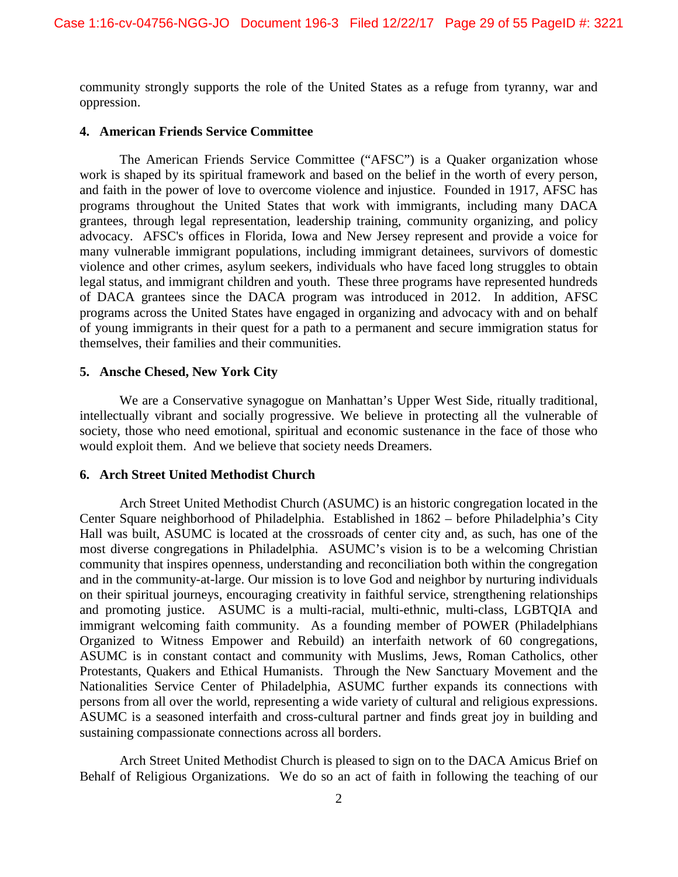community strongly supports the role of the United States as a refuge from tyranny, war and oppression.

### **4. American Friends Service Committee**

The American Friends Service Committee ("AFSC") is a Quaker organization whose work is shaped by its spiritual framework and based on the belief in the worth of every person, and faith in the power of love to overcome violence and injustice. Founded in 1917, AFSC has programs throughout the United States that work with immigrants, including many DACA grantees, through legal representation, leadership training, community organizing, and policy advocacy. AFSC's offices in Florida, Iowa and New Jersey represent and provide a voice for many vulnerable immigrant populations, including immigrant detainees, survivors of domestic violence and other crimes, asylum seekers, individuals who have faced long struggles to obtain legal status, and immigrant children and youth. These three programs have represented hundreds of DACA grantees since the DACA program was introduced in 2012. In addition, AFSC programs across the United States have engaged in organizing and advocacy with and on behalf of young immigrants in their quest for a path to a permanent and secure immigration status for themselves, their families and their communities.

### **5. Ansche Chesed, New York City**

We are a Conservative synagogue on Manhattan's Upper West Side, ritually traditional, intellectually vibrant and socially progressive. We believe in protecting all the vulnerable of society, those who need emotional, spiritual and economic sustenance in the face of those who would exploit them. And we believe that society needs Dreamers.

### **6. Arch Street United Methodist Church**

Arch Street United Methodist Church (ASUMC) is an historic congregation located in the Center Square neighborhood of Philadelphia. Established in 1862 – before Philadelphia's City Hall was built, ASUMC is located at the crossroads of center city and, as such, has one of the most diverse congregations in Philadelphia. ASUMC's vision is to be a welcoming Christian community that inspires openness, understanding and reconciliation both within the congregation and in the community-at-large. Our mission is to love God and neighbor by nurturing individuals on their spiritual journeys, encouraging creativity in faithful service, strengthening relationships and promoting justice. ASUMC is a multi-racial, multi-ethnic, multi-class, LGBTQIA and immigrant welcoming faith community. As a founding member of POWER (Philadelphians Organized to Witness Empower and Rebuild) an interfaith network of 60 congregations, ASUMC is in constant contact and community with Muslims, Jews, Roman Catholics, other Protestants, Quakers and Ethical Humanists. Through the New Sanctuary Movement and the Nationalities Service Center of Philadelphia, ASUMC further expands its connections with persons from all over the world, representing a wide variety of cultural and religious expressions. ASUMC is a seasoned interfaith and cross-cultural partner and finds great joy in building and sustaining compassionate connections across all borders.

Arch Street United Methodist Church is pleased to sign on to the DACA Amicus Brief on Behalf of Religious Organizations. We do so an act of faith in following the teaching of our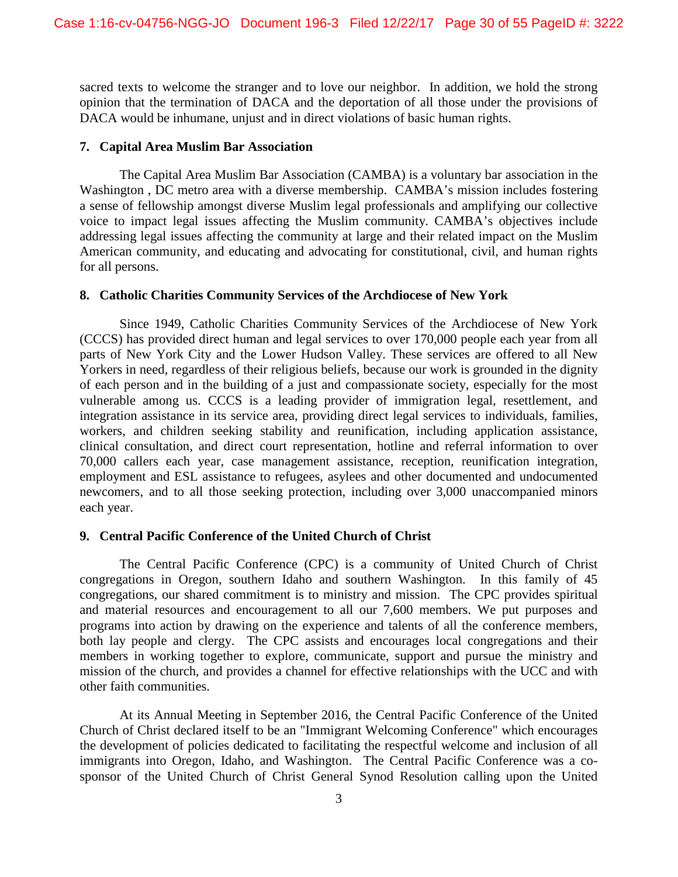sacred texts to welcome the stranger and to love our neighbor. In addition, we hold the strong opinion that the termination of DACA and the deportation of all those under the provisions of DACA would be inhumane, unjust and in direct violations of basic human rights.

### **7. Capital Area Muslim Bar Association**

The Capital Area Muslim Bar Association (CAMBA) is a voluntary bar association in the Washington , DC metro area with a diverse membership. CAMBA's mission includes fostering a sense of fellowship amongst diverse Muslim legal professionals and amplifying our collective voice to impact legal issues affecting the Muslim community. CAMBA's objectives include addressing legal issues affecting the community at large and their related impact on the Muslim American community, and educating and advocating for constitutional, civil, and human rights for all persons.

### **8. Catholic Charities Community Services of the Archdiocese of New York**

Since 1949, Catholic Charities Community Services of the Archdiocese of New York (CCCS) has provided direct human and legal services to over 170,000 people each year from all parts of New York City and the Lower Hudson Valley. These services are offered to all New Yorkers in need, regardless of their religious beliefs, because our work is grounded in the dignity of each person and in the building of a just and compassionate society, especially for the most vulnerable among us. CCCS is a leading provider of immigration legal, resettlement, and integration assistance in its service area, providing direct legal services to individuals, families, workers, and children seeking stability and reunification, including application assistance, clinical consultation, and direct court representation, hotline and referral information to over 70,000 callers each year, case management assistance, reception, reunification integration, employment and ESL assistance to refugees, asylees and other documented and undocumented newcomers, and to all those seeking protection, including over 3,000 unaccompanied minors each year.

### **9. Central Pacific Conference of the United Church of Christ**

The Central Pacific Conference (CPC) is a community of United Church of Christ congregations in Oregon, southern Idaho and southern Washington. In this family of 45 congregations, our shared commitment is to ministry and mission. The CPC provides spiritual and material resources and encouragement to all our 7,600 members. We put purposes and programs into action by drawing on the experience and talents of all the conference members, both lay people and clergy. The CPC assists and encourages local congregations and their members in working together to explore, communicate, support and pursue the ministry and mission of the church, and provides a channel for effective relationships with the UCC and with other faith communities.

At its Annual Meeting in September 2016, the Central Pacific Conference of the United Church of Christ declared itself to be an "Immigrant Welcoming Conference" which encourages the development of policies dedicated to facilitating the respectful welcome and inclusion of all immigrants into Oregon, Idaho, and Washington. The Central Pacific Conference was a cosponsor of the United Church of Christ General Synod Resolution calling upon the United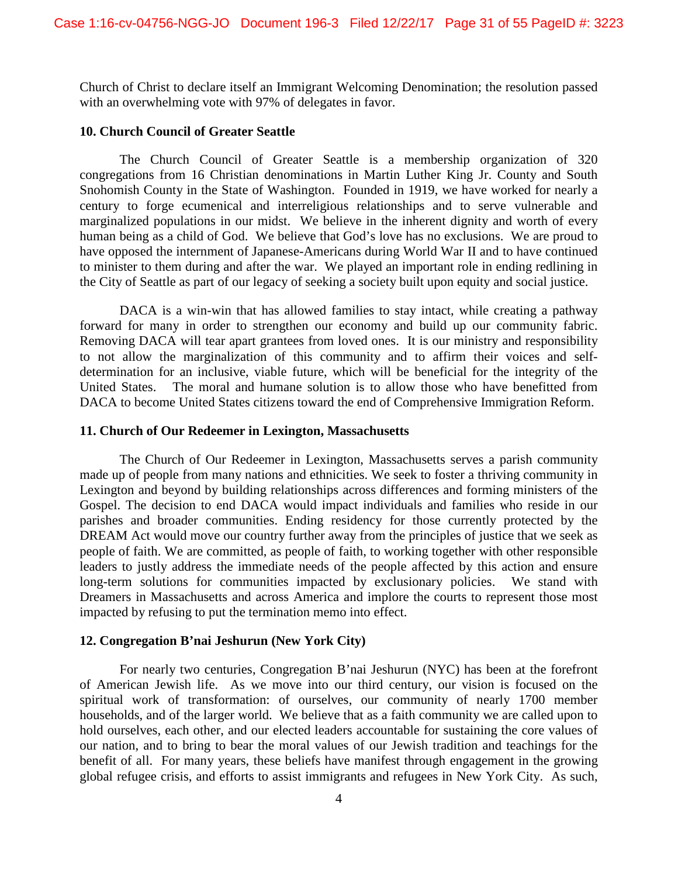Church of Christ to declare itself an Immigrant Welcoming Denomination; the resolution passed with an overwhelming vote with 97% of delegates in favor.

#### **10. Church Council of Greater Seattle**

The Church Council of Greater Seattle is a membership organization of 320 congregations from 16 Christian denominations in Martin Luther King Jr. County and South Snohomish County in the State of Washington. Founded in 1919, we have worked for nearly a century to forge ecumenical and interreligious relationships and to serve vulnerable and marginalized populations in our midst. We believe in the inherent dignity and worth of every human being as a child of God. We believe that God's love has no exclusions. We are proud to have opposed the internment of Japanese-Americans during World War II and to have continued to minister to them during and after the war. We played an important role in ending redlining in the City of Seattle as part of our legacy of seeking a society built upon equity and social justice.

DACA is a win-win that has allowed families to stay intact, while creating a pathway forward for many in order to strengthen our economy and build up our community fabric. Removing DACA will tear apart grantees from loved ones. It is our ministry and responsibility to not allow the marginalization of this community and to affirm their voices and selfdetermination for an inclusive, viable future, which will be beneficial for the integrity of the United States. The moral and humane solution is to allow those who have benefitted from DACA to become United States citizens toward the end of Comprehensive Immigration Reform.

#### **11. Church of Our Redeemer in Lexington, Massachusetts**

The Church of Our Redeemer in Lexington, Massachusetts serves a parish community made up of people from many nations and ethnicities. We seek to foster a thriving community in Lexington and beyond by building relationships across differences and forming ministers of the Gospel. The decision to end DACA would impact individuals and families who reside in our parishes and broader communities. Ending residency for those currently protected by the DREAM Act would move our country further away from the principles of justice that we seek as people of faith. We are committed, as people of faith, to working together with other responsible leaders to justly address the immediate needs of the people affected by this action and ensure long-term solutions for communities impacted by exclusionary policies. We stand with Dreamers in Massachusetts and across America and implore the courts to represent those most impacted by refusing to put the termination memo into effect.

### **12. Congregation B'nai Jeshurun (New York City)**

For nearly two centuries, Congregation B'nai Jeshurun (NYC) has been at the forefront of American Jewish life. As we move into our third century, our vision is focused on the spiritual work of transformation: of ourselves, our community of nearly 1700 member households, and of the larger world. We believe that as a faith community we are called upon to hold ourselves, each other, and our elected leaders accountable for sustaining the core values of our nation, and to bring to bear the moral values of our Jewish tradition and teachings for the benefit of all. For many years, these beliefs have manifest through engagement in the growing global refugee crisis, and efforts to assist immigrants and refugees in New York City. As such,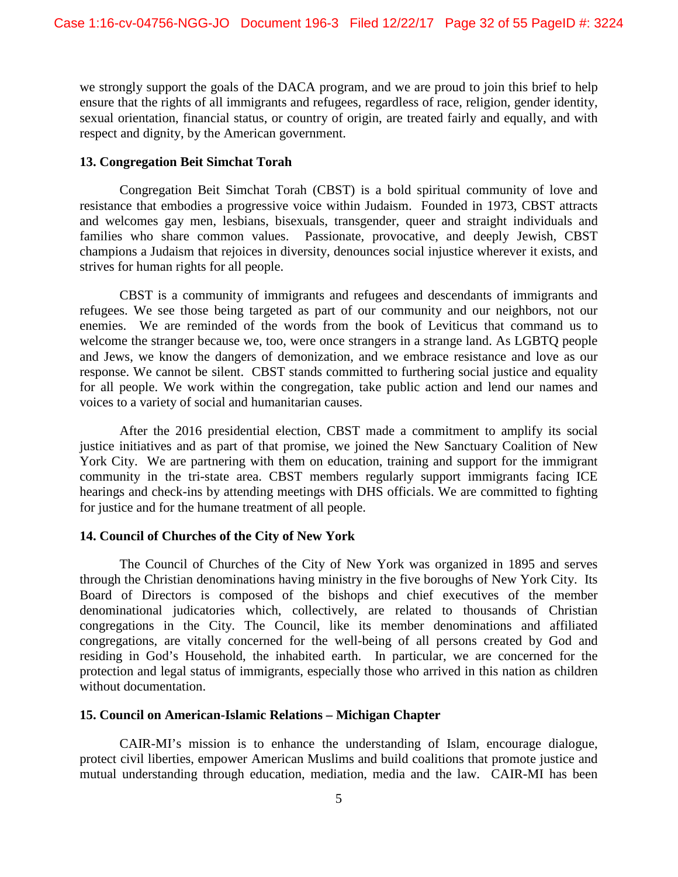we strongly support the goals of the DACA program, and we are proud to join this brief to help ensure that the rights of all immigrants and refugees, regardless of race, religion, gender identity, sexual orientation, financial status, or country of origin, are treated fairly and equally, and with respect and dignity, by the American government.

### **13. Congregation Beit Simchat Torah**

Congregation Beit Simchat Torah (CBST) is a bold spiritual community of love and resistance that embodies a progressive voice within Judaism. Founded in 1973, CBST attracts and welcomes gay men, lesbians, bisexuals, transgender, queer and straight individuals and families who share common values. Passionate, provocative, and deeply Jewish, CBST champions a Judaism that rejoices in diversity, denounces social injustice wherever it exists, and strives for human rights for all people.

CBST is a community of immigrants and refugees and descendants of immigrants and refugees. We see those being targeted as part of our community and our neighbors, not our enemies. We are reminded of the words from the book of Leviticus that command us to welcome the stranger because we, too, were once strangers in a strange land. As LGBTQ people and Jews, we know the dangers of demonization, and we embrace resistance and love as our response. We cannot be silent. CBST stands committed to furthering social justice and equality for all people. We work within the congregation, take public action and lend our names and voices to a variety of social and humanitarian causes.

After the 2016 presidential election, CBST made a commitment to amplify its social justice initiatives and as part of that promise, we joined the New Sanctuary Coalition of New York City. We are partnering with them on education, training and support for the immigrant community in the tri-state area. CBST members regularly support immigrants facing ICE hearings and check-ins by attending meetings with DHS officials. We are committed to fighting for justice and for the humane treatment of all people.

### **14. Council of Churches of the City of New York**

The Council of Churches of the City of New York was organized in 1895 and serves through the Christian denominations having ministry in the five boroughs of New York City. Its Board of Directors is composed of the bishops and chief executives of the member denominational judicatories which, collectively, are related to thousands of Christian congregations in the City. The Council, like its member denominations and affiliated congregations, are vitally concerned for the well-being of all persons created by God and residing in God's Household, the inhabited earth. In particular, we are concerned for the protection and legal status of immigrants, especially those who arrived in this nation as children without documentation.

### **15. Council on American-Islamic Relations – Michigan Chapter**

CAIR-MI's mission is to enhance the understanding of Islam, encourage dialogue, protect civil liberties, empower American Muslims and build coalitions that promote justice and mutual understanding through education, mediation, media and the law. CAIR-MI has been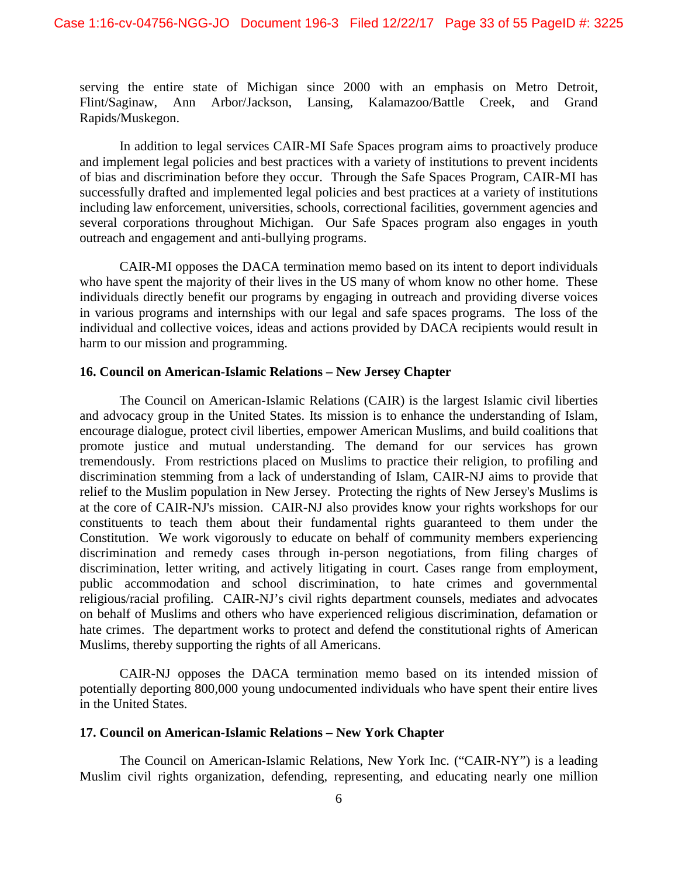serving the entire state of Michigan since 2000 with an emphasis on Metro Detroit, Flint/Saginaw, Ann Arbor/Jackson, Lansing, Kalamazoo/Battle Creek, and Grand Rapids/Muskegon.

In addition to legal services CAIR-MI Safe Spaces program aims to proactively produce and implement legal policies and best practices with a variety of institutions to prevent incidents of bias and discrimination before they occur. Through the Safe Spaces Program, CAIR-MI has successfully drafted and implemented legal policies and best practices at a variety of institutions including law enforcement, universities, schools, correctional facilities, government agencies and several corporations throughout Michigan. Our Safe Spaces program also engages in youth outreach and engagement and anti-bullying programs.

CAIR-MI opposes the DACA termination memo based on its intent to deport individuals who have spent the majority of their lives in the US many of whom know no other home. These individuals directly benefit our programs by engaging in outreach and providing diverse voices in various programs and internships with our legal and safe spaces programs. The loss of the individual and collective voices, ideas and actions provided by DACA recipients would result in harm to our mission and programming.

### **16. Council on American-Islamic Relations – New Jersey Chapter**

The Council on American-Islamic Relations (CAIR) is the largest Islamic civil liberties and advocacy group in the United States. Its mission is to enhance the understanding of Islam, encourage dialogue, protect civil liberties, empower American Muslims, and build coalitions that promote justice and mutual understanding. The demand for our services has grown tremendously. From restrictions placed on Muslims to practice their religion, to profiling and discrimination stemming from a lack of understanding of Islam, CAIR-NJ aims to provide that relief to the Muslim population in New Jersey. Protecting the rights of New Jersey's Muslims is at the core of CAIR-NJ's mission. CAIR-NJ also provides know your rights workshops for our constituents to teach them about their fundamental rights guaranteed to them under the Constitution. We work vigorously to educate on behalf of community members experiencing discrimination and remedy cases through in-person negotiations, from filing charges of discrimination, letter writing, and actively litigating in court. Cases range from employment, public accommodation and school discrimination, to hate crimes and governmental religious/racial profiling. CAIR-NJ's civil rights department counsels, mediates and advocates on behalf of Muslims and others who have experienced religious discrimination, defamation or hate crimes. The department works to protect and defend the constitutional rights of American Muslims, thereby supporting the rights of all Americans.

CAIR-NJ opposes the DACA termination memo based on its intended mission of potentially deporting 800,000 young undocumented individuals who have spent their entire lives in the United States.

### **17. Council on American-Islamic Relations – New York Chapter**

The Council on American-Islamic Relations, New York Inc. ("CAIR-NY") is a leading Muslim civil rights organization, defending, representing, and educating nearly one million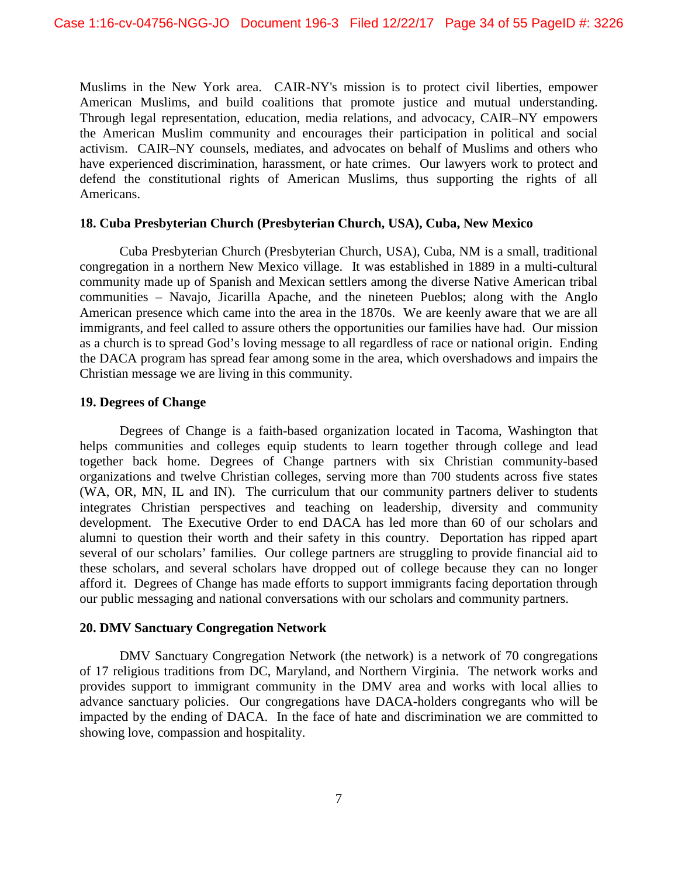Muslims in the New York area. CAIR-NY's mission is to protect civil liberties, empower American Muslims, and build coalitions that promote justice and mutual understanding. Through legal representation, education, media relations, and advocacy, CAIR–NY empowers the American Muslim community and encourages their participation in political and social activism. CAIR–NY counsels, mediates, and advocates on behalf of Muslims and others who have experienced discrimination, harassment, or hate crimes. Our lawyers work to protect and defend the constitutional rights of American Muslims, thus supporting the rights of all Americans.

### **18. Cuba Presbyterian Church (Presbyterian Church, USA), Cuba, New Mexico**

Cuba Presbyterian Church (Presbyterian Church, USA), Cuba, NM is a small, traditional congregation in a northern New Mexico village. It was established in 1889 in a multi-cultural community made up of Spanish and Mexican settlers among the diverse Native American tribal communities – Navajo, Jicarilla Apache, and the nineteen Pueblos; along with the Anglo American presence which came into the area in the 1870s. We are keenly aware that we are all immigrants, and feel called to assure others the opportunities our families have had. Our mission as a church is to spread God's loving message to all regardless of race or national origin. Ending the DACA program has spread fear among some in the area, which overshadows and impairs the Christian message we are living in this community.

### **19. Degrees of Change**

Degrees of Change is a faith-based organization located in Tacoma, Washington that helps communities and colleges equip students to learn together through college and lead together back home. Degrees of Change partners with six Christian community-based organizations and twelve Christian colleges, serving more than 700 students across five states (WA, OR, MN, IL and IN). The curriculum that our community partners deliver to students integrates Christian perspectives and teaching on leadership, diversity and community development. The Executive Order to end DACA has led more than 60 of our scholars and alumni to question their worth and their safety in this country. Deportation has ripped apart several of our scholars' families. Our college partners are struggling to provide financial aid to these scholars, and several scholars have dropped out of college because they can no longer afford it. Degrees of Change has made efforts to support immigrants facing deportation through our public messaging and national conversations with our scholars and community partners.

### **20. DMV Sanctuary Congregation Network**

DMV Sanctuary Congregation Network (the network) is a network of 70 congregations of 17 religious traditions from DC, Maryland, and Northern Virginia. The network works and provides support to immigrant community in the DMV area and works with local allies to advance sanctuary policies. Our congregations have DACA-holders congregants who will be impacted by the ending of DACA. In the face of hate and discrimination we are committed to showing love, compassion and hospitality.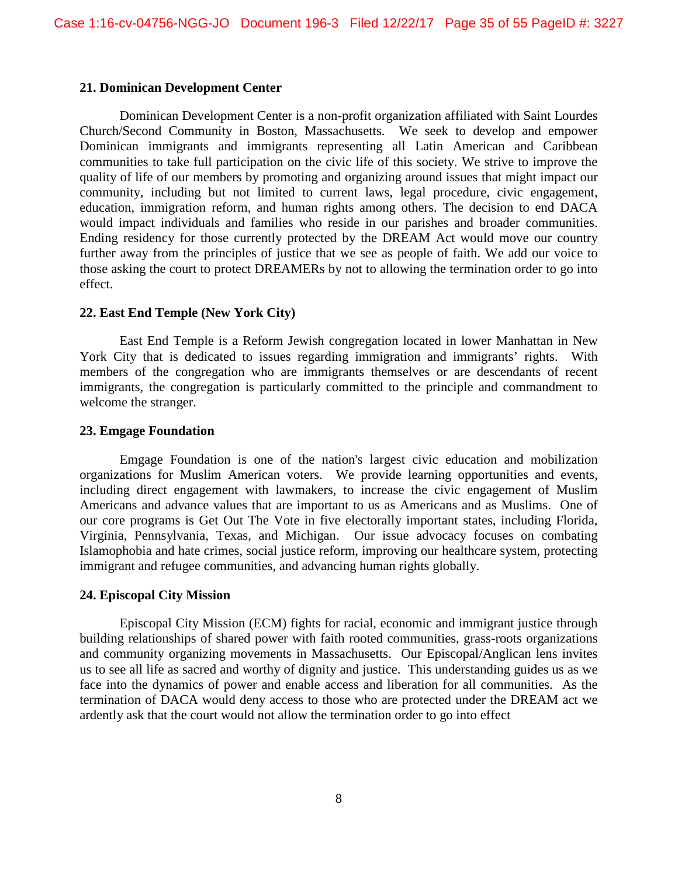### **21. Dominican Development Center**

Dominican Development Center is a non-profit organization affiliated with Saint Lourdes Church/Second Community in Boston, Massachusetts. We seek to develop and empower Dominican immigrants and immigrants representing all Latin American and Caribbean communities to take full participation on the civic life of this society. We strive to improve the quality of life of our members by promoting and organizing around issues that might impact our community, including but not limited to current laws, legal procedure, civic engagement, education, immigration reform, and human rights among others. The decision to end DACA would impact individuals and families who reside in our parishes and broader communities. Ending residency for those currently protected by the DREAM Act would move our country further away from the principles of justice that we see as people of faith. We add our voice to those asking the court to protect DREAMERs by not to allowing the termination order to go into effect.

### **22. East End Temple (New York City)**

East End Temple is a Reform Jewish congregation located in lower Manhattan in New York City that is dedicated to issues regarding immigration and immigrants' rights. With members of the congregation who are immigrants themselves or are descendants of recent immigrants, the congregation is particularly committed to the principle and commandment to welcome the stranger.

### **23. Emgage Foundation**

Emgage Foundation is one of the nation's largest civic education and mobilization organizations for Muslim American voters. We provide learning opportunities and events, including direct engagement with lawmakers, to increase the civic engagement of Muslim Americans and advance values that are important to us as Americans and as Muslims. One of our core programs is Get Out The Vote in five electorally important states, including Florida, Virginia, Pennsylvania, Texas, and Michigan. Our issue advocacy focuses on combating Islamophobia and hate crimes, social justice reform, improving our healthcare system, protecting immigrant and refugee communities, and advancing human rights globally.

### **24. Episcopal City Mission**

Episcopal City Mission (ECM) fights for racial, economic and immigrant justice through building relationships of shared power with faith rooted communities, grass-roots organizations and community organizing movements in Massachusetts. Our Episcopal/Anglican lens invites us to see all life as sacred and worthy of dignity and justice. This understanding guides us as we face into the dynamics of power and enable access and liberation for all communities. As the termination of DACA would deny access to those who are protected under the DREAM act we ardently ask that the court would not allow the termination order to go into effect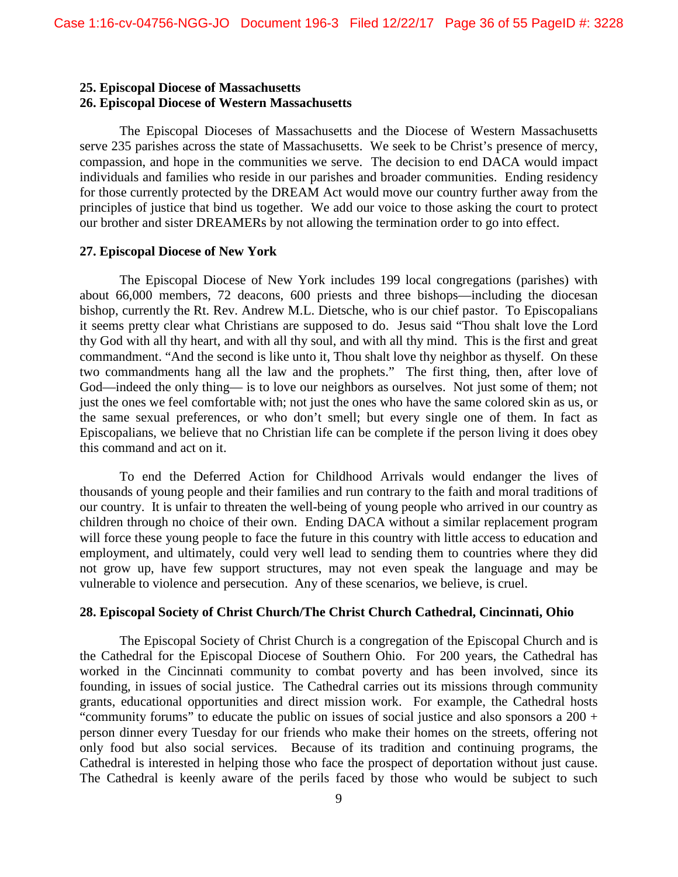# **25. Episcopal Diocese of Massachusetts**

**26. Episcopal Diocese of Western Massachusetts**

The Episcopal Dioceses of Massachusetts and the Diocese of Western Massachusetts serve 235 parishes across the state of Massachusetts. We seek to be Christ's presence of mercy, compassion, and hope in the communities we serve. The decision to end DACA would impact individuals and families who reside in our parishes and broader communities. Ending residency for those currently protected by the DREAM Act would move our country further away from the principles of justice that bind us together. We add our voice to those asking the court to protect our brother and sister DREAMERs by not allowing the termination order to go into effect.

### **27. Episcopal Diocese of New York**

The Episcopal Diocese of New York includes 199 local congregations (parishes) with about 66,000 members, 72 deacons, 600 priests and three bishops—including the diocesan bishop, currently the Rt. Rev. Andrew M.L. Dietsche, who is our chief pastor. To Episcopalians it seems pretty clear what Christians are supposed to do. Jesus said "Thou shalt love the Lord thy God with all thy heart, and with all thy soul, and with all thy mind. This is the first and great commandment. "And the second is like unto it, Thou shalt love thy neighbor as thyself. On these two commandments hang all the law and the prophets." The first thing, then, after love of God—indeed the only thing— is to love our neighbors as ourselves. Not just some of them; not just the ones we feel comfortable with; not just the ones who have the same colored skin as us, or the same sexual preferences, or who don't smell; but every single one of them. In fact as Episcopalians, we believe that no Christian life can be complete if the person living it does obey this command and act on it.

To end the Deferred Action for Childhood Arrivals would endanger the lives of thousands of young people and their families and run contrary to the faith and moral traditions of our country. It is unfair to threaten the well-being of young people who arrived in our country as children through no choice of their own. Ending DACA without a similar replacement program will force these young people to face the future in this country with little access to education and employment, and ultimately, could very well lead to sending them to countries where they did not grow up, have few support structures, may not even speak the language and may be vulnerable to violence and persecution. Any of these scenarios, we believe, is cruel.

### **28. Episcopal Society of Christ Church/The Christ Church Cathedral, Cincinnati, Ohio**

The Episcopal Society of Christ Church is a congregation of the Episcopal Church and is the Cathedral for the Episcopal Diocese of Southern Ohio. For 200 years, the Cathedral has worked in the Cincinnati community to combat poverty and has been involved, since its founding, in issues of social justice. The Cathedral carries out its missions through community grants, educational opportunities and direct mission work. For example, the Cathedral hosts "community forums" to educate the public on issues of social justice and also sponsors a 200 + person dinner every Tuesday for our friends who make their homes on the streets, offering not only food but also social services. Because of its tradition and continuing programs, the Cathedral is interested in helping those who face the prospect of deportation without just cause. The Cathedral is keenly aware of the perils faced by those who would be subject to such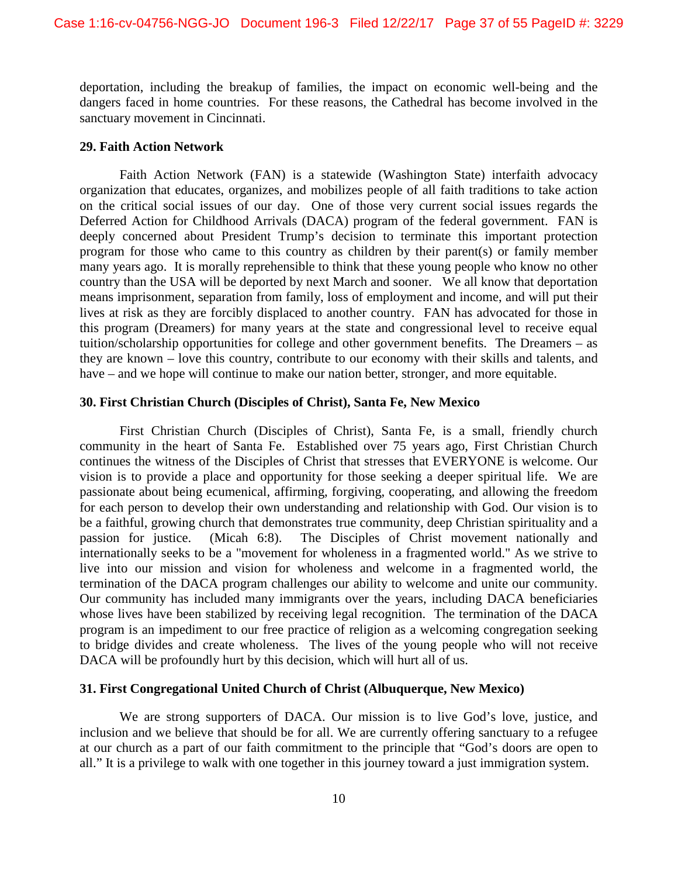deportation, including the breakup of families, the impact on economic well-being and the dangers faced in home countries. For these reasons, the Cathedral has become involved in the sanctuary movement in Cincinnati.

#### **29. Faith Action Network**

Faith Action Network (FAN) is a statewide (Washington State) interfaith advocacy organization that educates, organizes, and mobilizes people of all faith traditions to take action on the critical social issues of our day. One of those very current social issues regards the Deferred Action for Childhood Arrivals (DACA) program of the federal government. FAN is deeply concerned about President Trump's decision to terminate this important protection program for those who came to this country as children by their parent(s) or family member many years ago. It is morally reprehensible to think that these young people who know no other country than the USA will be deported by next March and sooner. We all know that deportation means imprisonment, separation from family, loss of employment and income, and will put their lives at risk as they are forcibly displaced to another country. FAN has advocated for those in this program (Dreamers) for many years at the state and congressional level to receive equal tuition/scholarship opportunities for college and other government benefits. The Dreamers – as they are known – love this country, contribute to our economy with their skills and talents, and have – and we hope will continue to make our nation better, stronger, and more equitable.

### **30. First Christian Church (Disciples of Christ), Santa Fe, New Mexico**

First Christian Church (Disciples of Christ), Santa Fe, is a small, friendly church community in the heart of Santa Fe. Established over 75 years ago, First Christian Church continues the witness of the Disciples of Christ that stresses that EVERYONE is welcome. Our vision is to provide a place and opportunity for those seeking a deeper spiritual life. We are passionate about being ecumenical, affirming, forgiving, cooperating, and allowing the freedom for each person to develop their own understanding and relationship with God. Our vision is to be a faithful, growing church that demonstrates true community, deep Christian spirituality and a passion for justice. (Micah 6:8). The Disciples of Christ movement nationally and internationally seeks to be a "movement for wholeness in a fragmented world." As we strive to live into our mission and vision for wholeness and welcome in a fragmented world, the termination of the DACA program challenges our ability to welcome and unite our community. Our community has included many immigrants over the years, including DACA beneficiaries whose lives have been stabilized by receiving legal recognition. The termination of the DACA program is an impediment to our free practice of religion as a welcoming congregation seeking to bridge divides and create wholeness. The lives of the young people who will not receive DACA will be profoundly hurt by this decision, which will hurt all of us.

### **31. First Congregational United Church of Christ (Albuquerque, New Mexico)**

We are strong supporters of DACA. Our mission is to live God's love, justice, and inclusion and we believe that should be for all. We are currently offering sanctuary to a refugee at our church as a part of our faith commitment to the principle that "God's doors are open to all." It is a privilege to walk with one together in this journey toward a just immigration system.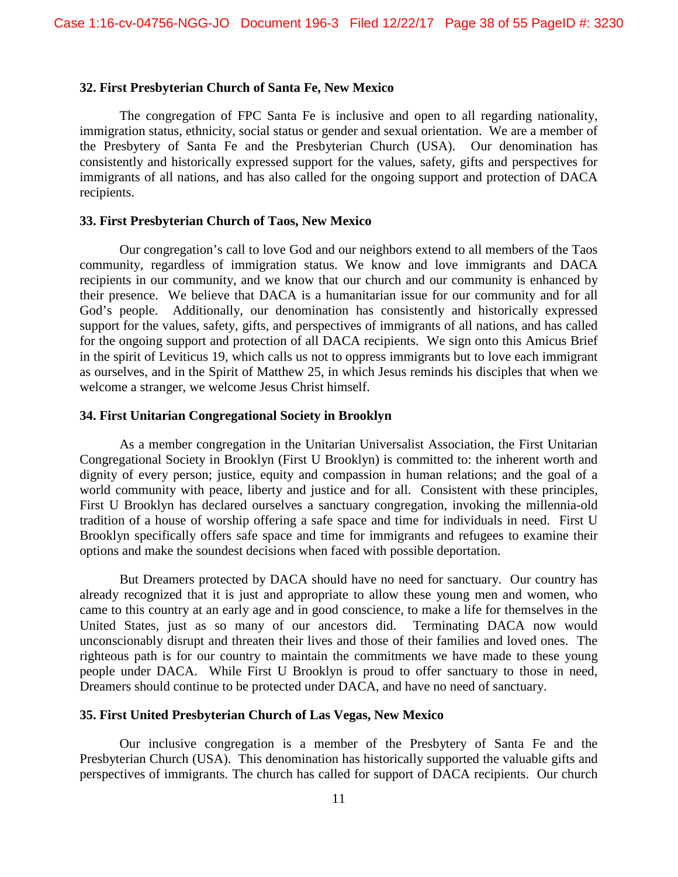#### **32. First Presbyterian Church of Santa Fe, New Mexico**

The congregation of FPC Santa Fe is inclusive and open to all regarding nationality, immigration status, ethnicity, social status or gender and sexual orientation. We are a member of the Presbytery of Santa Fe and the Presbyterian Church (USA). Our denomination has consistently and historically expressed support for the values, safety, gifts and perspectives for immigrants of all nations, and has also called for the ongoing support and protection of DACA recipients.

#### **33. First Presbyterian Church of Taos, New Mexico**

Our congregation's call to love God and our neighbors extend to all members of the Taos community, regardless of immigration status. We know and love immigrants and DACA recipients in our community, and we know that our church and our community is enhanced by their presence. We believe that DACA is a humanitarian issue for our community and for all God's people. Additionally, our denomination has consistently and historically expressed support for the values, safety, gifts, and perspectives of immigrants of all nations, and has called for the ongoing support and protection of all DACA recipients. We sign onto this Amicus Brief in the spirit of Leviticus 19, which calls us not to oppress immigrants but to love each immigrant as ourselves, and in the Spirit of Matthew 25, in which Jesus reminds his disciples that when we welcome a stranger, we welcome Jesus Christ himself.

#### **34. First Unitarian Congregational Society in Brooklyn**

As a member congregation in the Unitarian Universalist Association, the First Unitarian Congregational Society in Brooklyn (First U Brooklyn) is committed to: the inherent worth and dignity of every person; justice, equity and compassion in human relations; and the goal of a world community with peace, liberty and justice and for all. Consistent with these principles, First U Brooklyn has declared ourselves a sanctuary congregation, invoking the millennia-old tradition of a house of worship offering a safe space and time for individuals in need. First U Brooklyn specifically offers safe space and time for immigrants and refugees to examine their options and make the soundest decisions when faced with possible deportation.

But Dreamers protected by DACA should have no need for sanctuary. Our country has already recognized that it is just and appropriate to allow these young men and women, who came to this country at an early age and in good conscience, to make a life for themselves in the United States, just as so many of our ancestors did. Terminating DACA now would unconscionably disrupt and threaten their lives and those of their families and loved ones. The righteous path is for our country to maintain the commitments we have made to these young people under DACA. While First U Brooklyn is proud to offer sanctuary to those in need, Dreamers should continue to be protected under DACA, and have no need of sanctuary.

### **35. First United Presbyterian Church of Las Vegas, New Mexico**

Our inclusive congregation is a member of the Presbytery of Santa Fe and the Presbyterian Church (USA). This denomination has historically supported the valuable gifts and perspectives of immigrants. The church has called for support of DACA recipients. Our church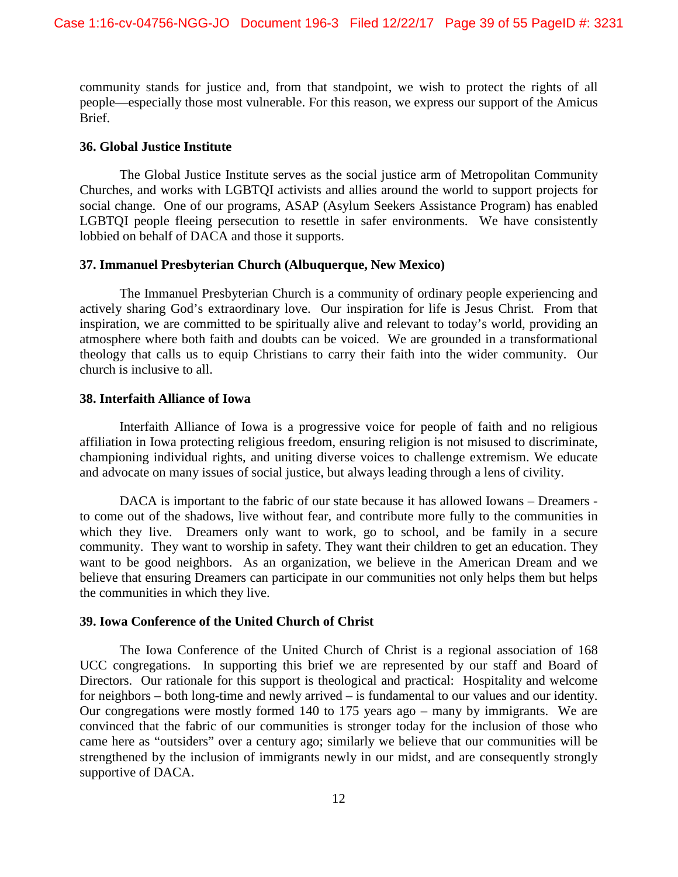community stands for justice and, from that standpoint, we wish to protect the rights of all people—especially those most vulnerable. For this reason, we express our support of the Amicus Brief.

### **36. Global Justice Institute**

The Global Justice Institute serves as the social justice arm of Metropolitan Community Churches, and works with LGBTQI activists and allies around the world to support projects for social change. One of our programs, ASAP (Asylum Seekers Assistance Program) has enabled LGBTQI people fleeing persecution to resettle in safer environments. We have consistently lobbied on behalf of DACA and those it supports.

### **37. Immanuel Presbyterian Church (Albuquerque, New Mexico)**

The Immanuel Presbyterian Church is a community of ordinary people experiencing and actively sharing God's extraordinary love. Our inspiration for life is Jesus Christ. From that inspiration, we are committed to be spiritually alive and relevant to today's world, providing an atmosphere where both faith and doubts can be voiced. We are grounded in a transformational theology that calls us to equip Christians to carry their faith into the wider community. Our church is inclusive to all.

### **38. Interfaith Alliance of Iowa**

Interfaith Alliance of Iowa is a progressive voice for people of faith and no religious affiliation in Iowa protecting religious freedom, ensuring religion is not misused to discriminate, championing individual rights, and uniting diverse voices to challenge extremism. We educate and advocate on many issues of social justice, but always leading through a lens of civility.

DACA is important to the fabric of our state because it has allowed Iowans – Dreamers to come out of the shadows, live without fear, and contribute more fully to the communities in which they live. Dreamers only want to work, go to school, and be family in a secure community. They want to worship in safety. They want their children to get an education. They want to be good neighbors. As an organization, we believe in the American Dream and we believe that ensuring Dreamers can participate in our communities not only helps them but helps the communities in which they live.

### **39. Iowa Conference of the United Church of Christ**

The Iowa Conference of the United Church of Christ is a regional association of 168 UCC congregations. In supporting this brief we are represented by our staff and Board of Directors. Our rationale for this support is theological and practical: Hospitality and welcome for neighbors – both long-time and newly arrived – is fundamental to our values and our identity. Our congregations were mostly formed 140 to 175 years ago – many by immigrants. We are convinced that the fabric of our communities is stronger today for the inclusion of those who came here as "outsiders" over a century ago; similarly we believe that our communities will be strengthened by the inclusion of immigrants newly in our midst, and are consequently strongly supportive of DACA.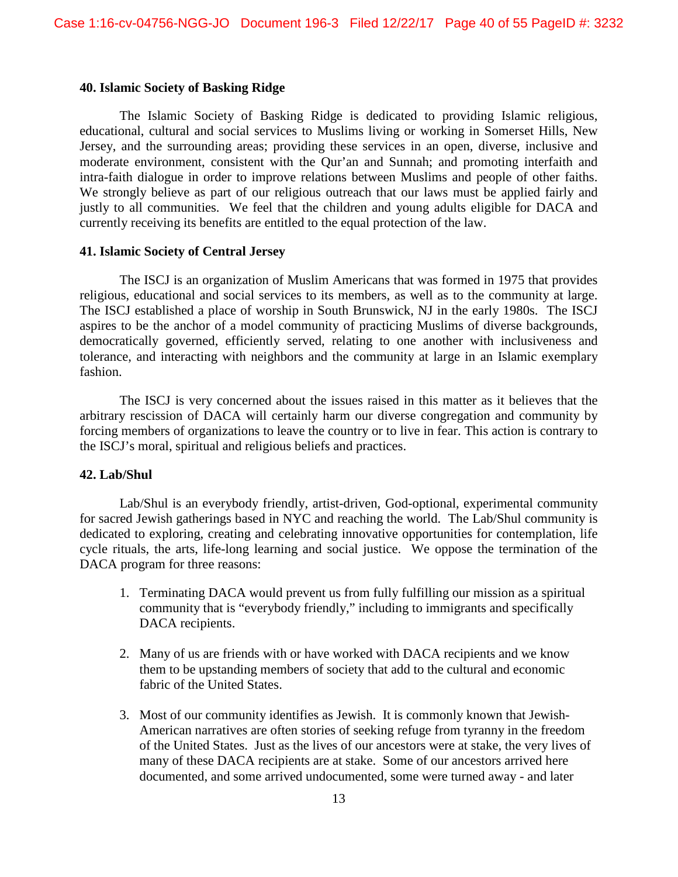#### **40. Islamic Society of Basking Ridge**

The Islamic Society of Basking Ridge is dedicated to providing Islamic religious, educational, cultural and social services to Muslims living or working in Somerset Hills, New Jersey, and the surrounding areas; providing these services in an open, diverse, inclusive and moderate environment, consistent with the Qur'an and Sunnah; and promoting interfaith and intra-faith dialogue in order to improve relations between Muslims and people of other faiths. We strongly believe as part of our religious outreach that our laws must be applied fairly and justly to all communities. We feel that the children and young adults eligible for DACA and currently receiving its benefits are entitled to the equal protection of the law.

#### **41. Islamic Society of Central Jersey**

The ISCJ is an organization of Muslim Americans that was formed in 1975 that provides religious, educational and social services to its members, as well as to the community at large. The ISCJ established a place of worship in South Brunswick, NJ in the early 1980s. The ISCJ aspires to be the anchor of a model community of practicing Muslims of diverse backgrounds, democratically governed, efficiently served, relating to one another with inclusiveness and tolerance, and interacting with neighbors and the community at large in an Islamic exemplary fashion.

The ISCJ is very concerned about the issues raised in this matter as it believes that the arbitrary rescission of DACA will certainly harm our diverse congregation and community by forcing members of organizations to leave the country or to live in fear. This action is contrary to the ISCJ's moral, spiritual and religious beliefs and practices.

### **42. Lab/Shul**

Lab/Shul is an everybody friendly, artist-driven, God-optional, experimental community for sacred Jewish gatherings based in NYC and reaching the world. The Lab/Shul community is dedicated to exploring, creating and celebrating innovative opportunities for contemplation, life cycle rituals, the arts, life-long learning and social justice. We oppose the termination of the DACA program for three reasons:

- 1. Terminating DACA would prevent us from fully fulfilling our mission as a spiritual community that is "everybody friendly," including to immigrants and specifically DACA recipients.
- 2. Many of us are friends with or have worked with DACA recipients and we know them to be upstanding members of society that add to the cultural and economic fabric of the United States.
- 3. Most of our community identifies as Jewish. It is commonly known that Jewish-American narratives are often stories of seeking refuge from tyranny in the freedom of the United States. Just as the lives of our ancestors were at stake, the very lives of many of these DACA recipients are at stake. Some of our ancestors arrived here documented, and some arrived undocumented, some were turned away - and later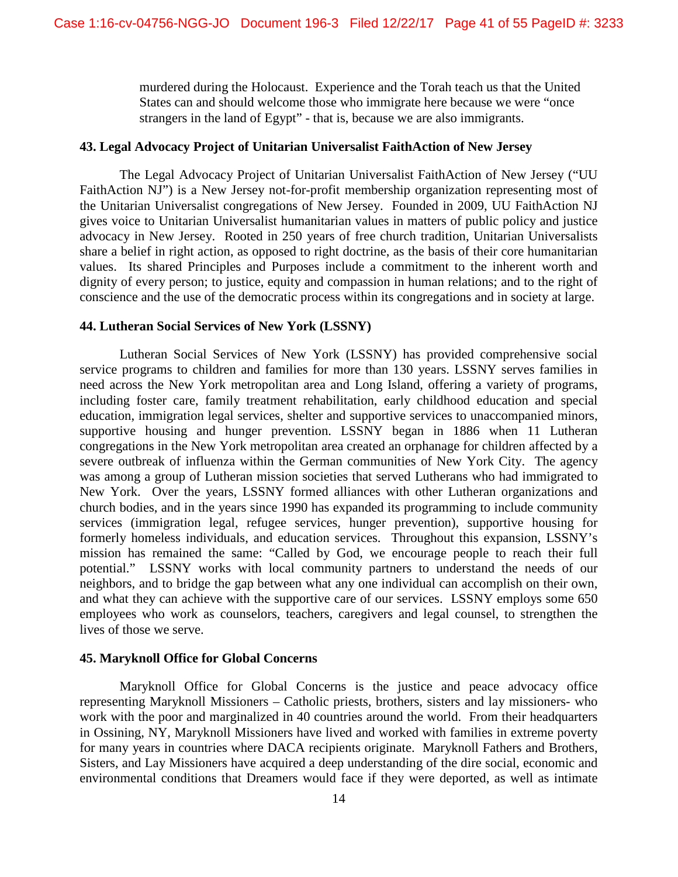murdered during the Holocaust. Experience and the Torah teach us that the United States can and should welcome those who immigrate here because we were "once strangers in the land of Egypt" - that is, because we are also immigrants.

### **43. Legal Advocacy Project of Unitarian Universalist FaithAction of New Jersey**

The Legal Advocacy Project of Unitarian Universalist FaithAction of New Jersey ("UU FaithAction NJ") is a New Jersey not-for-profit membership organization representing most of the Unitarian Universalist congregations of New Jersey. Founded in 2009, UU FaithAction NJ gives voice to Unitarian Universalist humanitarian values in matters of public policy and justice advocacy in New Jersey. Rooted in 250 years of free church tradition, Unitarian Universalists share a belief in right action, as opposed to right doctrine, as the basis of their core humanitarian values. Its shared Principles and Purposes include a commitment to the inherent worth and dignity of every person; to justice, equity and compassion in human relations; and to the right of conscience and the use of the democratic process within its congregations and in society at large.

### **44. Lutheran Social Services of New York (LSSNY)**

Lutheran Social Services of New York (LSSNY) has provided comprehensive social service programs to children and families for more than 130 years. LSSNY serves families in need across the New York metropolitan area and Long Island, offering a variety of programs, including foster care, family treatment rehabilitation, early childhood education and special education, immigration legal services, shelter and supportive services to unaccompanied minors, supportive housing and hunger prevention. LSSNY began in 1886 when 11 Lutheran congregations in the New York metropolitan area created an orphanage for children affected by a severe outbreak of influenza within the German communities of New York City. The agency was among a group of Lutheran mission societies that served Lutherans who had immigrated to New York. Over the years, LSSNY formed alliances with other Lutheran organizations and church bodies, and in the years since 1990 has expanded its programming to include community services (immigration legal, refugee services, hunger prevention), supportive housing for formerly homeless individuals, and education services. Throughout this expansion, LSSNY's mission has remained the same: "Called by God, we encourage people to reach their full potential." LSSNY works with local community partners to understand the needs of our neighbors, and to bridge the gap between what any one individual can accomplish on their own, and what they can achieve with the supportive care of our services. LSSNY employs some 650 employees who work as counselors, teachers, caregivers and legal counsel, to strengthen the lives of those we serve.

#### **45. Maryknoll Office for Global Concerns**

Maryknoll Office for Global Concerns is the justice and peace advocacy office representing Maryknoll Missioners – Catholic priests, brothers, sisters and lay missioners- who work with the poor and marginalized in 40 countries around the world. From their headquarters in Ossining, NY, Maryknoll Missioners have lived and worked with families in extreme poverty for many years in countries where DACA recipients originate. Maryknoll Fathers and Brothers, Sisters, and Lay Missioners have acquired a deep understanding of the dire social, economic and environmental conditions that Dreamers would face if they were deported, as well as intimate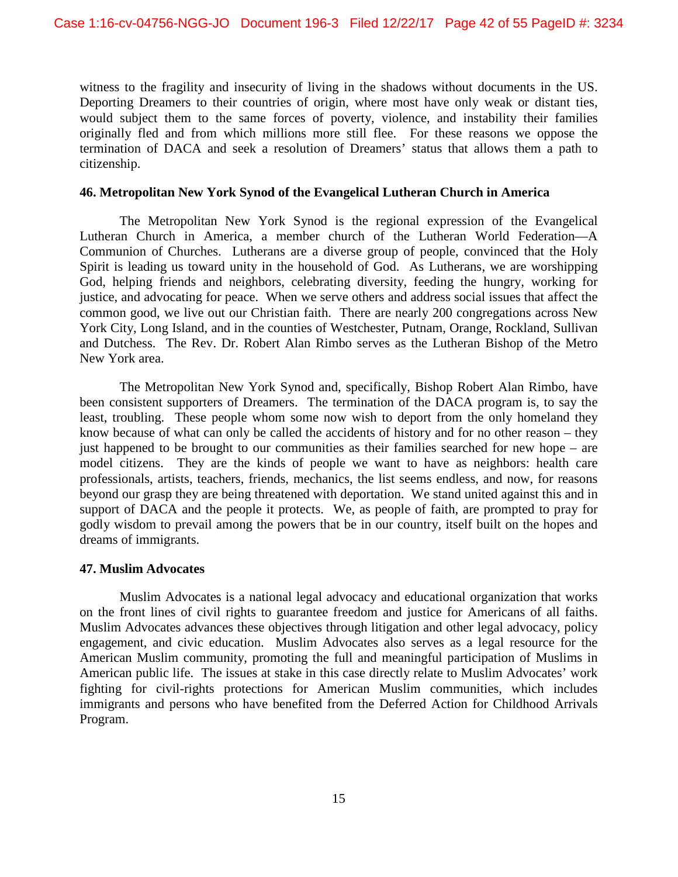witness to the fragility and insecurity of living in the shadows without documents in the US. Deporting Dreamers to their countries of origin, where most have only weak or distant ties, would subject them to the same forces of poverty, violence, and instability their families originally fled and from which millions more still flee. For these reasons we oppose the termination of DACA and seek a resolution of Dreamers' status that allows them a path to citizenship.

### **46. Metropolitan New York Synod of the Evangelical Lutheran Church in America**

The Metropolitan New York Synod is the regional expression of the Evangelical Lutheran Church in America, a member church of the Lutheran World Federation—A Communion of Churches. Lutherans are a diverse group of people, convinced that the Holy Spirit is leading us toward unity in the household of God. As Lutherans, we are worshipping God, helping friends and neighbors, celebrating diversity, feeding the hungry, working for justice, and advocating for peace. When we serve others and address social issues that affect the common good, we live out our Christian faith. There are nearly 200 congregations across New York City, Long Island, and in the counties of Westchester, Putnam, Orange, Rockland, Sullivan and Dutchess. The Rev. Dr. Robert Alan Rimbo serves as the Lutheran Bishop of the Metro New York area.

The Metropolitan New York Synod and, specifically, Bishop Robert Alan Rimbo, have been consistent supporters of Dreamers. The termination of the DACA program is, to say the least, troubling. These people whom some now wish to deport from the only homeland they know because of what can only be called the accidents of history and for no other reason – they just happened to be brought to our communities as their families searched for new hope – are model citizens. They are the kinds of people we want to have as neighbors: health care professionals, artists, teachers, friends, mechanics, the list seems endless, and now, for reasons beyond our grasp they are being threatened with deportation. We stand united against this and in support of DACA and the people it protects. We, as people of faith, are prompted to pray for godly wisdom to prevail among the powers that be in our country, itself built on the hopes and dreams of immigrants.

### **47. Muslim Advocates**

Muslim Advocates is a national legal advocacy and educational organization that works on the front lines of civil rights to guarantee freedom and justice for Americans of all faiths. Muslim Advocates advances these objectives through litigation and other legal advocacy, policy engagement, and civic education. Muslim Advocates also serves as a legal resource for the American Muslim community, promoting the full and meaningful participation of Muslims in American public life. The issues at stake in this case directly relate to Muslim Advocates' work fighting for civil-rights protections for American Muslim communities, which includes immigrants and persons who have benefited from the Deferred Action for Childhood Arrivals Program.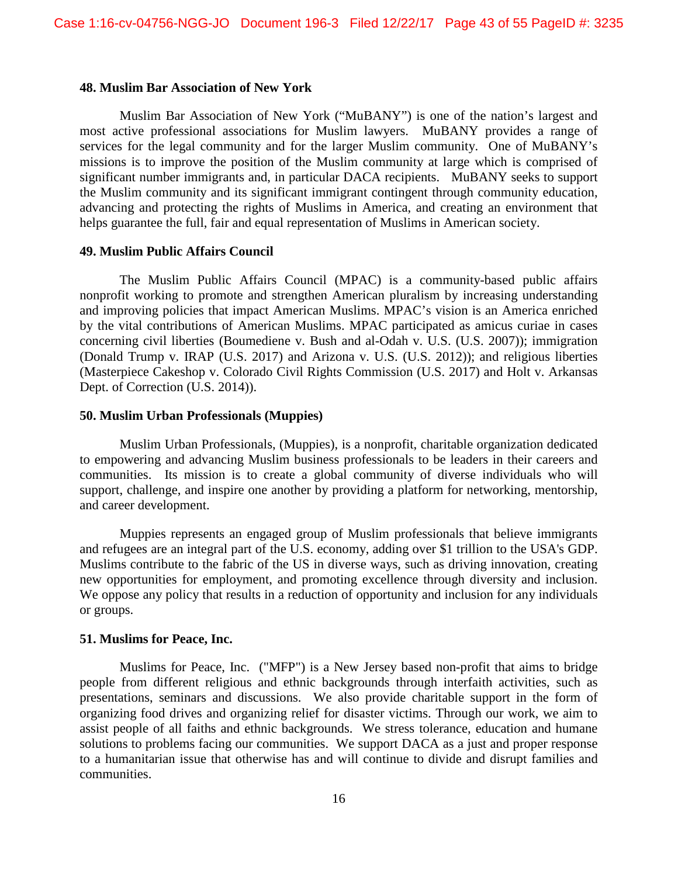#### **48. Muslim Bar Association of New York**

Muslim Bar Association of New York ("MuBANY") is one of the nation's largest and most active professional associations for Muslim lawyers. MuBANY provides a range of services for the legal community and for the larger Muslim community. One of MuBANY's missions is to improve the position of the Muslim community at large which is comprised of significant number immigrants and, in particular DACA recipients. MuBANY seeks to support the Muslim community and its significant immigrant contingent through community education, advancing and protecting the rights of Muslims in America, and creating an environment that helps guarantee the full, fair and equal representation of Muslims in American society.

### **49. Muslim Public Affairs Council**

The Muslim Public Affairs Council (MPAC) is a community-based public affairs nonprofit working to promote and strengthen American pluralism by increasing understanding and improving policies that impact American Muslims. MPAC's vision is an America enriched by the vital contributions of American Muslims. MPAC participated as amicus curiae in cases concerning civil liberties (Boumediene v. Bush and al-Odah v. U.S. (U.S. 2007)); immigration (Donald Trump v. IRAP (U.S. 2017) and Arizona v. U.S. (U.S. 2012)); and religious liberties (Masterpiece Cakeshop v. Colorado Civil Rights Commission (U.S. 2017) and Holt v. Arkansas Dept. of Correction (U.S. 2014)).

#### **50. Muslim Urban Professionals (Muppies)**

Muslim Urban Professionals, (Muppies), is a nonprofit, charitable organization dedicated to empowering and advancing Muslim business professionals to be leaders in their careers and communities. Its mission is to create a global community of diverse individuals who will support, challenge, and inspire one another by providing a platform for networking, mentorship, and career development.

Muppies represents an engaged group of Muslim professionals that believe immigrants and refugees are an integral part of the U.S. economy, adding over \$1 trillion to the USA's GDP. Muslims contribute to the fabric of the US in diverse ways, such as driving innovation, creating new opportunities for employment, and promoting excellence through diversity and inclusion. We oppose any policy that results in a reduction of opportunity and inclusion for any individuals or groups.

### **51. Muslims for Peace, Inc.**

Muslims for Peace, Inc. ("MFP") is a New Jersey based non-profit that aims to bridge people from different religious and ethnic backgrounds through interfaith activities, such as presentations, seminars and discussions. We also provide charitable support in the form of organizing food drives and organizing relief for disaster victims. Through our work, we aim to assist people of all faiths and ethnic backgrounds. We stress tolerance, education and humane solutions to problems facing our communities. We support DACA as a just and proper response to a humanitarian issue that otherwise has and will continue to divide and disrupt families and communities.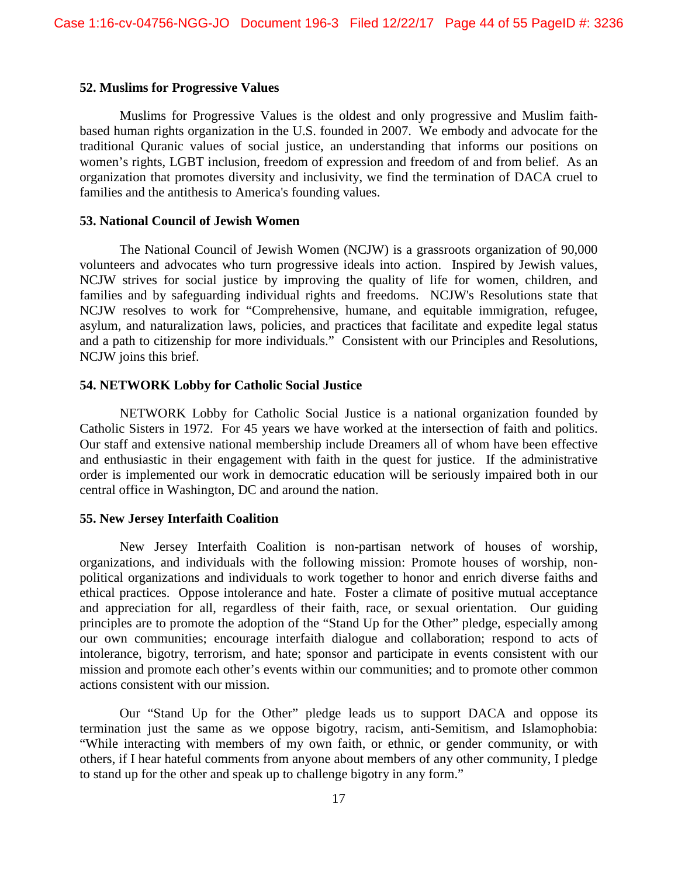#### **52. Muslims for Progressive Values**

Muslims for Progressive Values is the oldest and only progressive and Muslim faithbased human rights organization in the U.S. founded in 2007. We embody and advocate for the traditional Quranic values of social justice, an understanding that informs our positions on women's rights, LGBT inclusion, freedom of expression and freedom of and from belief. As an organization that promotes diversity and inclusivity, we find the termination of DACA cruel to families and the antithesis to America's founding values.

#### **53. National Council of Jewish Women**

The National Council of Jewish Women (NCJW) is a grassroots organization of 90,000 volunteers and advocates who turn progressive ideals into action. Inspired by Jewish values, NCJW strives for social justice by improving the quality of life for women, children, and families and by safeguarding individual rights and freedoms. NCJW's Resolutions state that NCJW resolves to work for "Comprehensive, humane, and equitable immigration, refugee, asylum, and naturalization laws, policies, and practices that facilitate and expedite legal status and a path to citizenship for more individuals." Consistent with our Principles and Resolutions, NCJW joins this brief.

### **54. NETWORK Lobby for Catholic Social Justice**

NETWORK Lobby for Catholic Social Justice is a national organization founded by Catholic Sisters in 1972. For 45 years we have worked at the intersection of faith and politics. Our staff and extensive national membership include Dreamers all of whom have been effective and enthusiastic in their engagement with faith in the quest for justice. If the administrative order is implemented our work in democratic education will be seriously impaired both in our central office in Washington, DC and around the nation.

### **55. New Jersey Interfaith Coalition**

New Jersey Interfaith Coalition is non-partisan network of houses of worship, organizations, and individuals with the following mission: Promote houses of worship, nonpolitical organizations and individuals to work together to honor and enrich diverse faiths and ethical practices. Oppose intolerance and hate. Foster a climate of positive mutual acceptance and appreciation for all, regardless of their faith, race, or sexual orientation. Our guiding principles are to promote the adoption of the "Stand Up for the Other" pledge, especially among our own communities; encourage interfaith dialogue and collaboration; respond to acts of intolerance, bigotry, terrorism, and hate; sponsor and participate in events consistent with our mission and promote each other's events within our communities; and to promote other common actions consistent with our mission.

Our "Stand Up for the Other" pledge leads us to support DACA and oppose its termination just the same as we oppose bigotry, racism, anti-Semitism, and Islamophobia: "While interacting with members of my own faith, or ethnic, or gender community, or with others, if I hear hateful comments from anyone about members of any other community, I pledge to stand up for the other and speak up to challenge bigotry in any form."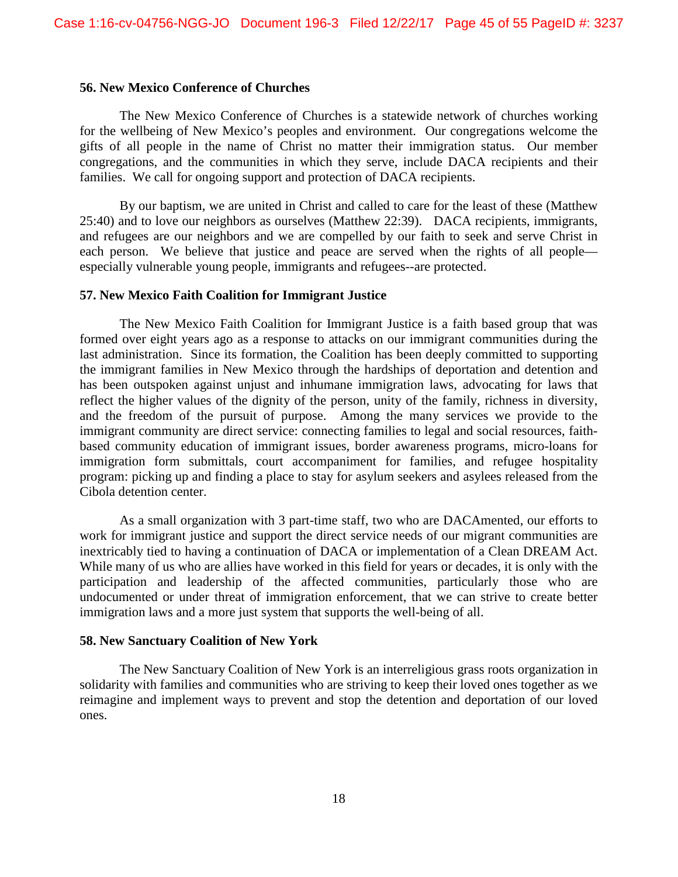### **56. New Mexico Conference of Churches**

The New Mexico Conference of Churches is a statewide network of churches working for the wellbeing of New Mexico's peoples and environment. Our congregations welcome the gifts of all people in the name of Christ no matter their immigration status. Our member congregations, and the communities in which they serve, include DACA recipients and their families. We call for ongoing support and protection of DACA recipients.

By our baptism, we are united in Christ and called to care for the least of these (Matthew 25:40) and to love our neighbors as ourselves (Matthew 22:39). DACA recipients, immigrants, and refugees are our neighbors and we are compelled by our faith to seek and serve Christ in each person. We believe that justice and peace are served when the rights of all people especially vulnerable young people, immigrants and refugees--are protected.

### **57. New Mexico Faith Coalition for Immigrant Justice**

The New Mexico Faith Coalition for Immigrant Justice is a faith based group that was formed over eight years ago as a response to attacks on our immigrant communities during the last administration. Since its formation, the Coalition has been deeply committed to supporting the immigrant families in New Mexico through the hardships of deportation and detention and has been outspoken against unjust and inhumane immigration laws, advocating for laws that reflect the higher values of the dignity of the person, unity of the family, richness in diversity, and the freedom of the pursuit of purpose. Among the many services we provide to the immigrant community are direct service: connecting families to legal and social resources, faithbased community education of immigrant issues, border awareness programs, micro-loans for immigration form submittals, court accompaniment for families, and refugee hospitality program: picking up and finding a place to stay for asylum seekers and asylees released from the Cibola detention center.

As a small organization with 3 part-time staff, two who are DACAmented, our efforts to work for immigrant justice and support the direct service needs of our migrant communities are inextricably tied to having a continuation of DACA or implementation of a Clean DREAM Act. While many of us who are allies have worked in this field for years or decades, it is only with the participation and leadership of the affected communities, particularly those who are undocumented or under threat of immigration enforcement, that we can strive to create better immigration laws and a more just system that supports the well-being of all.

### **58. New Sanctuary Coalition of New York**

The New Sanctuary Coalition of New York is an interreligious grass roots organization in solidarity with families and communities who are striving to keep their loved ones together as we reimagine and implement ways to prevent and stop the detention and deportation of our loved ones.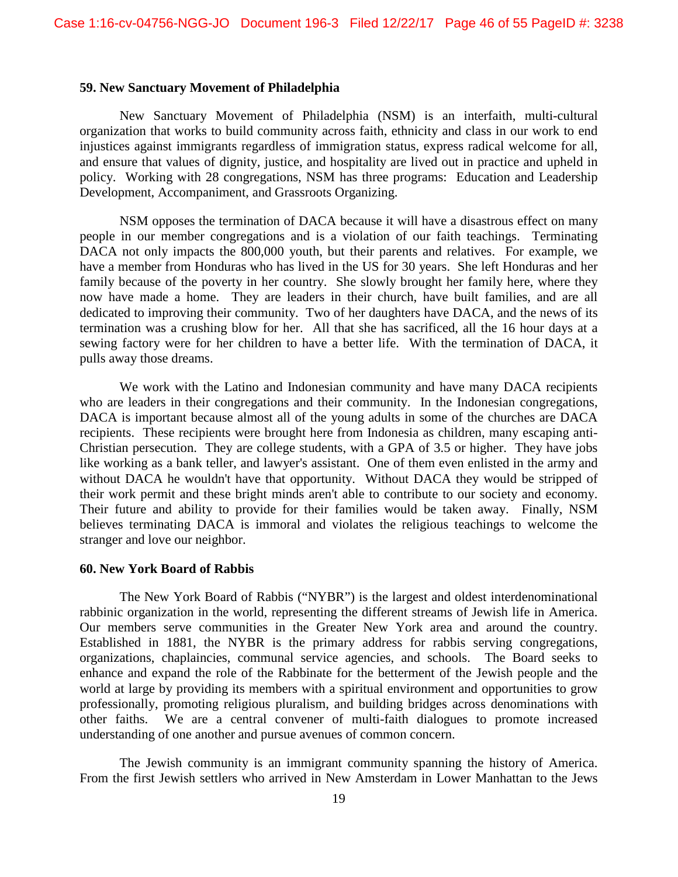#### **59. New Sanctuary Movement of Philadelphia**

New Sanctuary Movement of Philadelphia (NSM) is an interfaith, multi-cultural organization that works to build community across faith, ethnicity and class in our work to end injustices against immigrants regardless of immigration status, express radical welcome for all, and ensure that values of dignity, justice, and hospitality are lived out in practice and upheld in policy. Working with 28 congregations, NSM has three programs: Education and Leadership Development, Accompaniment, and Grassroots Organizing.

NSM opposes the termination of DACA because it will have a disastrous effect on many people in our member congregations and is a violation of our faith teachings. Terminating DACA not only impacts the 800,000 youth, but their parents and relatives. For example, we have a member from Honduras who has lived in the US for 30 years. She left Honduras and her family because of the poverty in her country. She slowly brought her family here, where they now have made a home. They are leaders in their church, have built families, and are all dedicated to improving their community. Two of her daughters have DACA, and the news of its termination was a crushing blow for her. All that she has sacrificed, all the 16 hour days at a sewing factory were for her children to have a better life. With the termination of DACA, it pulls away those dreams.

We work with the Latino and Indonesian community and have many DACA recipients who are leaders in their congregations and their community. In the Indonesian congregations, DACA is important because almost all of the young adults in some of the churches are DACA recipients. These recipients were brought here from Indonesia as children, many escaping anti-Christian persecution. They are college students, with a GPA of 3.5 or higher. They have jobs like working as a bank teller, and lawyer's assistant. One of them even enlisted in the army and without DACA he wouldn't have that opportunity. Without DACA they would be stripped of their work permit and these bright minds aren't able to contribute to our society and economy. Their future and ability to provide for their families would be taken away. Finally, NSM believes terminating DACA is immoral and violates the religious teachings to welcome the stranger and love our neighbor.

#### **60. New York Board of Rabbis**

The New York Board of Rabbis ("NYBR") is the largest and oldest interdenominational rabbinic organization in the world, representing the different streams of Jewish life in America. Our members serve communities in the Greater New York area and around the country. Established in 1881, the NYBR is the primary address for rabbis serving congregations, organizations, chaplaincies, communal service agencies, and schools. The Board seeks to enhance and expand the role of the Rabbinate for the betterment of the Jewish people and the world at large by providing its members with a spiritual environment and opportunities to grow professionally, promoting religious pluralism, and building bridges across denominations with other faiths. We are a central convener of multi-faith dialogues to promote increased understanding of one another and pursue avenues of common concern.

The Jewish community is an immigrant community spanning the history of America. From the first Jewish settlers who arrived in New Amsterdam in Lower Manhattan to the Jews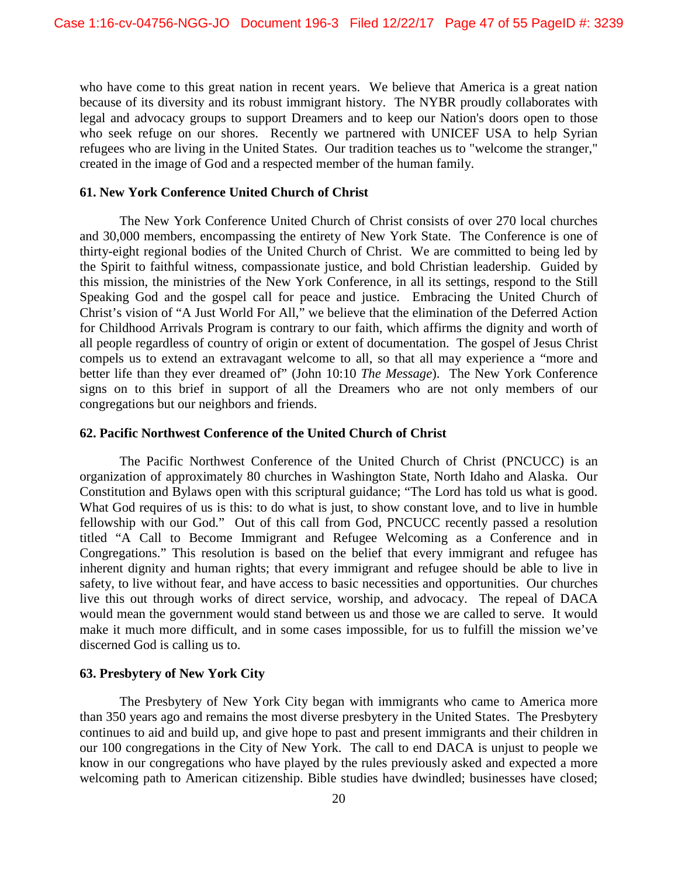who have come to this great nation in recent years. We believe that America is a great nation because of its diversity and its robust immigrant history. The NYBR proudly collaborates with legal and advocacy groups to support Dreamers and to keep our Nation's doors open to those who seek refuge on our shores. Recently we partnered with UNICEF USA to help Syrian refugees who are living in the United States. Our tradition teaches us to "welcome the stranger," created in the image of God and a respected member of the human family.

### **61. New York Conference United Church of Christ**

The New York Conference United Church of Christ consists of over 270 local churches and 30,000 members, encompassing the entirety of New York State. The Conference is one of thirty-eight regional bodies of the United Church of Christ. We are committed to being led by the Spirit to faithful witness, compassionate justice, and bold Christian leadership. Guided by this mission, the ministries of the New York Conference, in all its settings, respond to the Still Speaking God and the gospel call for peace and justice. Embracing the United Church of Christ's vision of "A Just World For All," we believe that the elimination of the Deferred Action for Childhood Arrivals Program is contrary to our faith, which affirms the dignity and worth of all people regardless of country of origin or extent of documentation. The gospel of Jesus Christ compels us to extend an extravagant welcome to all, so that all may experience a "more and better life than they ever dreamed of" (John 10:10 *The Message*). The New York Conference signs on to this brief in support of all the Dreamers who are not only members of our congregations but our neighbors and friends.

### **62. Pacific Northwest Conference of the United Church of Christ**

The Pacific Northwest Conference of the United Church of Christ (PNCUCC) is an organization of approximately 80 churches in Washington State, North Idaho and Alaska. Our Constitution and Bylaws open with this scriptural guidance; "The Lord has told us what is good. What God requires of us is this: to do what is just, to show constant love, and to live in humble fellowship with our God." Out of this call from God, PNCUCC recently passed a resolution titled "A Call to Become Immigrant and Refugee Welcoming as a Conference and in Congregations." This resolution is based on the belief that every immigrant and refugee has inherent dignity and human rights; that every immigrant and refugee should be able to live in safety, to live without fear, and have access to basic necessities and opportunities. Our churches live this out through works of direct service, worship, and advocacy. The repeal of DACA would mean the government would stand between us and those we are called to serve. It would make it much more difficult, and in some cases impossible, for us to fulfill the mission we've discerned God is calling us to.

### **63. Presbytery of New York City**

The Presbytery of New York City began with immigrants who came to America more than 350 years ago and remains the most diverse presbytery in the United States. The Presbytery continues to aid and build up, and give hope to past and present immigrants and their children in our 100 congregations in the City of New York. The call to end DACA is unjust to people we know in our congregations who have played by the rules previously asked and expected a more welcoming path to American citizenship. Bible studies have dwindled; businesses have closed;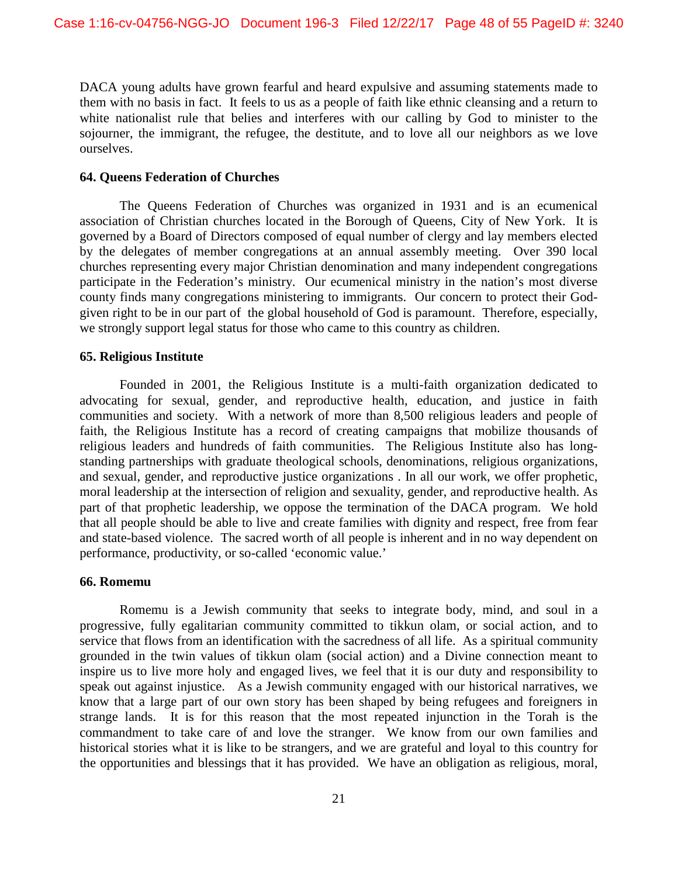DACA young adults have grown fearful and heard expulsive and assuming statements made to them with no basis in fact. It feels to us as a people of faith like ethnic cleansing and a return to white nationalist rule that belies and interferes with our calling by God to minister to the sojourner, the immigrant, the refugee, the destitute, and to love all our neighbors as we love ourselves.

### **64. Queens Federation of Churches**

The Queens Federation of Churches was organized in 1931 and is an ecumenical association of Christian churches located in the Borough of Queens, City of New York. It is governed by a Board of Directors composed of equal number of clergy and lay members elected by the delegates of member congregations at an annual assembly meeting. Over 390 local churches representing every major Christian denomination and many independent congregations participate in the Federation's ministry. Our ecumenical ministry in the nation's most diverse county finds many congregations ministering to immigrants. Our concern to protect their Godgiven right to be in our part of the global household of God is paramount. Therefore, especially, we strongly support legal status for those who came to this country as children.

### **65. Religious Institute**

Founded in 2001, the Religious Institute is a multi-faith organization dedicated to advocating for sexual, gender, and reproductive health, education, and justice in faith communities and society. With a network of more than 8,500 religious leaders and people of faith, the Religious Institute has a record of creating campaigns that mobilize thousands of religious leaders and hundreds of faith communities. The Religious Institute also has longstanding partnerships with graduate theological schools, denominations, religious organizations, and sexual, gender, and reproductive justice organizations . In all our work, we offer prophetic, moral leadership at the intersection of religion and sexuality, gender, and reproductive health. As part of that prophetic leadership, we oppose the termination of the DACA program. We hold that all people should be able to live and create families with dignity and respect, free from fear and state-based violence. The sacred worth of all people is inherent and in no way dependent on performance, productivity, or so-called 'economic value.'

### **66. Romemu**

Romemu is a Jewish community that seeks to integrate body, mind, and soul in a progressive, fully egalitarian community committed to tikkun olam, or social action, and to service that flows from an identification with the sacredness of all life. As a spiritual community grounded in the twin values of tikkun olam (social action) and a Divine connection meant to inspire us to live more holy and engaged lives, we feel that it is our duty and responsibility to speak out against injustice. As a Jewish community engaged with our historical narratives, we know that a large part of our own story has been shaped by being refugees and foreigners in strange lands. It is for this reason that the most repeated injunction in the Torah is the commandment to take care of and love the stranger. We know from our own families and historical stories what it is like to be strangers, and we are grateful and loyal to this country for the opportunities and blessings that it has provided. We have an obligation as religious, moral,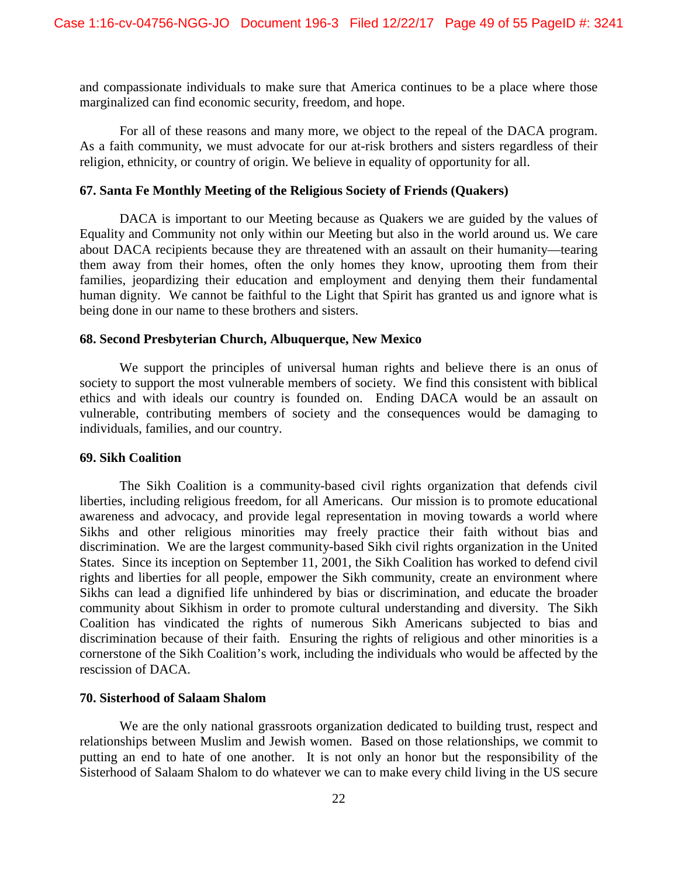and compassionate individuals to make sure that America continues to be a place where those marginalized can find economic security, freedom, and hope.

For all of these reasons and many more, we object to the repeal of the DACA program. As a faith community, we must advocate for our at-risk brothers and sisters regardless of their religion, ethnicity, or country of origin. We believe in equality of opportunity for all.

### **67. Santa Fe Monthly Meeting of the Religious Society of Friends (Quakers)**

DACA is important to our Meeting because as Quakers we are guided by the values of Equality and Community not only within our Meeting but also in the world around us. We care about DACA recipients because they are threatened with an assault on their humanity—tearing them away from their homes, often the only homes they know, uprooting them from their families, jeopardizing their education and employment and denying them their fundamental human dignity. We cannot be faithful to the Light that Spirit has granted us and ignore what is being done in our name to these brothers and sisters.

#### **68. Second Presbyterian Church, Albuquerque, New Mexico**

We support the principles of universal human rights and believe there is an onus of society to support the most vulnerable members of society. We find this consistent with biblical ethics and with ideals our country is founded on. Ending DACA would be an assault on vulnerable, contributing members of society and the consequences would be damaging to individuals, families, and our country.

### **69. Sikh Coalition**

The Sikh Coalition is a community-based civil rights organization that defends civil liberties, including religious freedom, for all Americans. Our mission is to promote educational awareness and advocacy, and provide legal representation in moving towards a world where Sikhs and other religious minorities may freely practice their faith without bias and discrimination. We are the largest community-based Sikh civil rights organization in the United States. Since its inception on September 11, 2001, the Sikh Coalition has worked to defend civil rights and liberties for all people, empower the Sikh community, create an environment where Sikhs can lead a dignified life unhindered by bias or discrimination, and educate the broader community about Sikhism in order to promote cultural understanding and diversity. The Sikh Coalition has vindicated the rights of numerous Sikh Americans subjected to bias and discrimination because of their faith. Ensuring the rights of religious and other minorities is a cornerstone of the Sikh Coalition's work, including the individuals who would be affected by the rescission of DACA.

### **70. Sisterhood of Salaam Shalom**

We are the only national grassroots organization dedicated to building trust, respect and relationships between Muslim and Jewish women. Based on those relationships, we commit to putting an end to hate of one another. It is not only an honor but the responsibility of the Sisterhood of Salaam Shalom to do whatever we can to make every child living in the US secure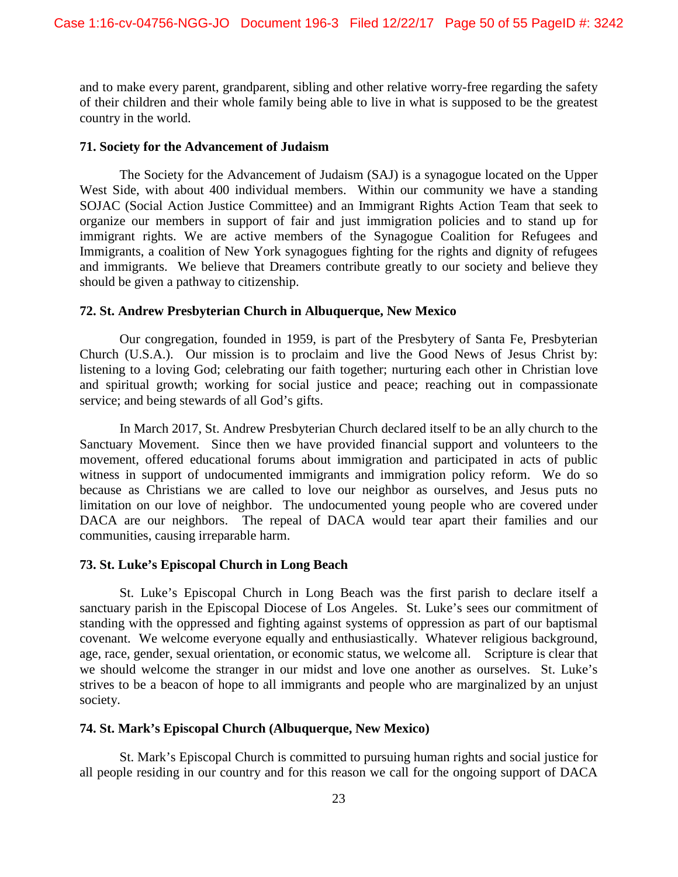and to make every parent, grandparent, sibling and other relative worry-free regarding the safety of their children and their whole family being able to live in what is supposed to be the greatest country in the world.

### **71. Society for the Advancement of Judaism**

The Society for the Advancement of Judaism (SAJ) is a synagogue located on the Upper West Side, with about 400 individual members. Within our community we have a standing SOJAC (Social Action Justice Committee) and an Immigrant Rights Action Team that seek to organize our members in support of fair and just immigration policies and to stand up for immigrant rights. We are active members of the Synagogue Coalition for Refugees and Immigrants, a coalition of New York synagogues fighting for the rights and dignity of refugees and immigrants. We believe that Dreamers contribute greatly to our society and believe they should be given a pathway to citizenship.

### **72. St. Andrew Presbyterian Church in Albuquerque, New Mexico**

Our congregation, founded in 1959, is part of the Presbytery of Santa Fe, Presbyterian Church (U.S.A.). Our mission is to proclaim and live the Good News of Jesus Christ by: listening to a loving God; celebrating our faith together; nurturing each other in Christian love and spiritual growth; working for social justice and peace; reaching out in compassionate service; and being stewards of all God's gifts.

In March 2017, St. Andrew Presbyterian Church declared itself to be an ally church to the Sanctuary Movement. Since then we have provided financial support and volunteers to the movement, offered educational forums about immigration and participated in acts of public witness in support of undocumented immigrants and immigration policy reform. We do so because as Christians we are called to love our neighbor as ourselves, and Jesus puts no limitation on our love of neighbor. The undocumented young people who are covered under DACA are our neighbors. The repeal of DACA would tear apart their families and our communities, causing irreparable harm.

### **73. St. Luke's Episcopal Church in Long Beach**

St. Luke's Episcopal Church in Long Beach was the first parish to declare itself a sanctuary parish in the Episcopal Diocese of Los Angeles. St. Luke's sees our commitment of standing with the oppressed and fighting against systems of oppression as part of our baptismal covenant. We welcome everyone equally and enthusiastically. Whatever religious background, age, race, gender, sexual orientation, or economic status, we welcome all. Scripture is clear that we should welcome the stranger in our midst and love one another as ourselves. St. Luke's strives to be a beacon of hope to all immigrants and people who are marginalized by an unjust society.

### **74. St. Mark's Episcopal Church (Albuquerque, New Mexico)**

St. Mark's Episcopal Church is committed to pursuing human rights and social justice for all people residing in our country and for this reason we call for the ongoing support of DACA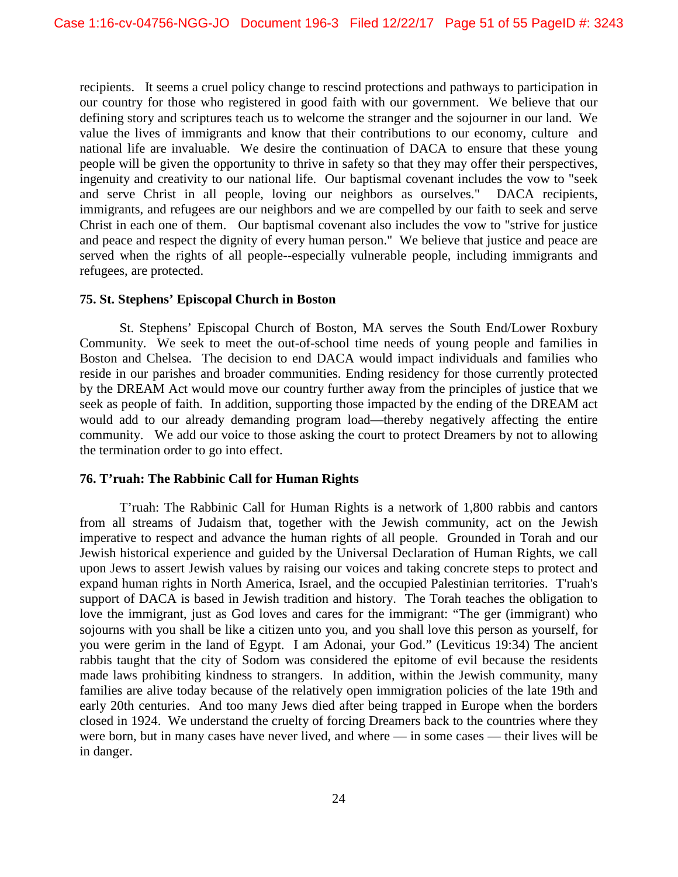recipients. It seems a cruel policy change to rescind protections and pathways to participation in our country for those who registered in good faith with our government. We believe that our defining story and scriptures teach us to welcome the stranger and the sojourner in our land. We value the lives of immigrants and know that their contributions to our economy, culture and national life are invaluable. We desire the continuation of DACA to ensure that these young people will be given the opportunity to thrive in safety so that they may offer their perspectives, ingenuity and creativity to our national life. Our baptismal covenant includes the vow to "seek and serve Christ in all people, loving our neighbors as ourselves." DACA recipients, immigrants, and refugees are our neighbors and we are compelled by our faith to seek and serve Christ in each one of them. Our baptismal covenant also includes the vow to "strive for justice and peace and respect the dignity of every human person." We believe that justice and peace are served when the rights of all people--especially vulnerable people, including immigrants and refugees, are protected.

### **75. St. Stephens' Episcopal Church in Boston**

St. Stephens' Episcopal Church of Boston, MA serves the South End/Lower Roxbury Community. We seek to meet the out-of-school time needs of young people and families in Boston and Chelsea. The decision to end DACA would impact individuals and families who reside in our parishes and broader communities. Ending residency for those currently protected by the DREAM Act would move our country further away from the principles of justice that we seek as people of faith. In addition, supporting those impacted by the ending of the DREAM act would add to our already demanding program load—thereby negatively affecting the entire community. We add our voice to those asking the court to protect Dreamers by not to allowing the termination order to go into effect.

### **76. T'ruah: The Rabbinic Call for Human Rights**

T'ruah: The Rabbinic Call for Human Rights is a network of 1,800 rabbis and cantors from all streams of Judaism that, together with the Jewish community, act on the Jewish imperative to respect and advance the human rights of all people. Grounded in Torah and our Jewish historical experience and guided by the Universal Declaration of Human Rights, we call upon Jews to assert Jewish values by raising our voices and taking concrete steps to protect and expand human rights in North America, Israel, and the occupied Palestinian territories. T'ruah's support of DACA is based in Jewish tradition and history. The Torah teaches the obligation to love the immigrant, just as God loves and cares for the immigrant: "The ger (immigrant) who sojourns with you shall be like a citizen unto you, and you shall love this person as yourself, for you were gerim in the land of Egypt. I am Adonai, your God." (Leviticus 19:34) The ancient rabbis taught that the city of Sodom was considered the epitome of evil because the residents made laws prohibiting kindness to strangers. In addition, within the Jewish community, many families are alive today because of the relatively open immigration policies of the late 19th and early 20th centuries. And too many Jews died after being trapped in Europe when the borders closed in 1924. We understand the cruelty of forcing Dreamers back to the countries where they were born, but in many cases have never lived, and where — in some cases — their lives will be in danger.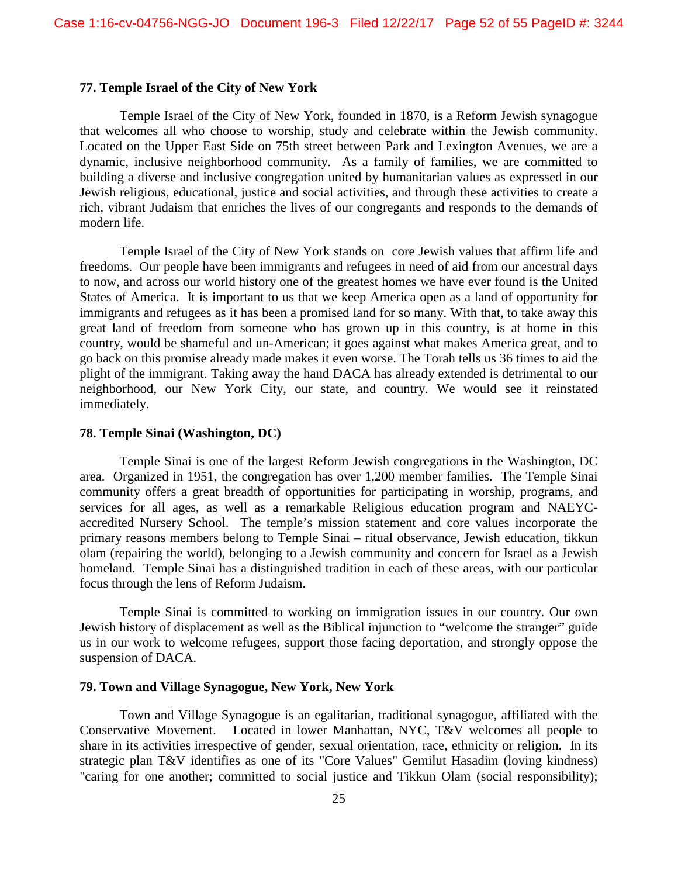#### **77. Temple Israel of the City of New York**

Temple Israel of the City of New York, founded in 1870, is a Reform Jewish synagogue that welcomes all who choose to worship, study and celebrate within the Jewish community. Located on the Upper East Side on 75th street between Park and Lexington Avenues, we are a dynamic, inclusive neighborhood community. As a family of families, we are committed to building a diverse and inclusive congregation united by humanitarian values as expressed in our Jewish religious, educational, justice and social activities, and through these activities to create a rich, vibrant Judaism that enriches the lives of our congregants and responds to the demands of modern life.

Temple Israel of the City of New York stands on core Jewish values that affirm life and freedoms. Our people have been immigrants and refugees in need of aid from our ancestral days to now, and across our world history one of the greatest homes we have ever found is the United States of America. It is important to us that we keep America open as a land of opportunity for immigrants and refugees as it has been a promised land for so many. With that, to take away this great land of freedom from someone who has grown up in this country, is at home in this country, would be shameful and un-American; it goes against what makes America great, and to go back on this promise already made makes it even worse. The Torah tells us 36 times to aid the plight of the immigrant. Taking away the hand DACA has already extended is detrimental to our neighborhood, our New York City, our state, and country. We would see it reinstated immediately.

#### **78. Temple Sinai (Washington, DC)**

Temple Sinai is one of the largest Reform Jewish congregations in the Washington, DC area. Organized in 1951, the congregation has over 1,200 member families. The Temple Sinai community offers a great breadth of opportunities for participating in worship, programs, and services for all ages, as well as a remarkable Religious education program and NAEYCaccredited Nursery School. The temple's mission statement and core values incorporate the primary reasons members belong to Temple Sinai – ritual observance, Jewish education, tikkun olam (repairing the world), belonging to a Jewish community and concern for Israel as a Jewish homeland. Temple Sinai has a distinguished tradition in each of these areas, with our particular focus through the lens of Reform Judaism.

Temple Sinai is committed to working on immigration issues in our country. Our own Jewish history of displacement as well as the Biblical injunction to "welcome the stranger" guide us in our work to welcome refugees, support those facing deportation, and strongly oppose the suspension of DACA.

#### **79. Town and Village Synagogue, New York, New York**

Town and Village Synagogue is an egalitarian, traditional synagogue, affiliated with the Conservative Movement. Located in lower Manhattan, NYC, T&V welcomes all people to share in its activities irrespective of gender, sexual orientation, race, ethnicity or religion. In its strategic plan T&V identifies as one of its "Core Values" Gemilut Hasadim (loving kindness) "caring for one another; committed to social justice and Tikkun Olam (social responsibility);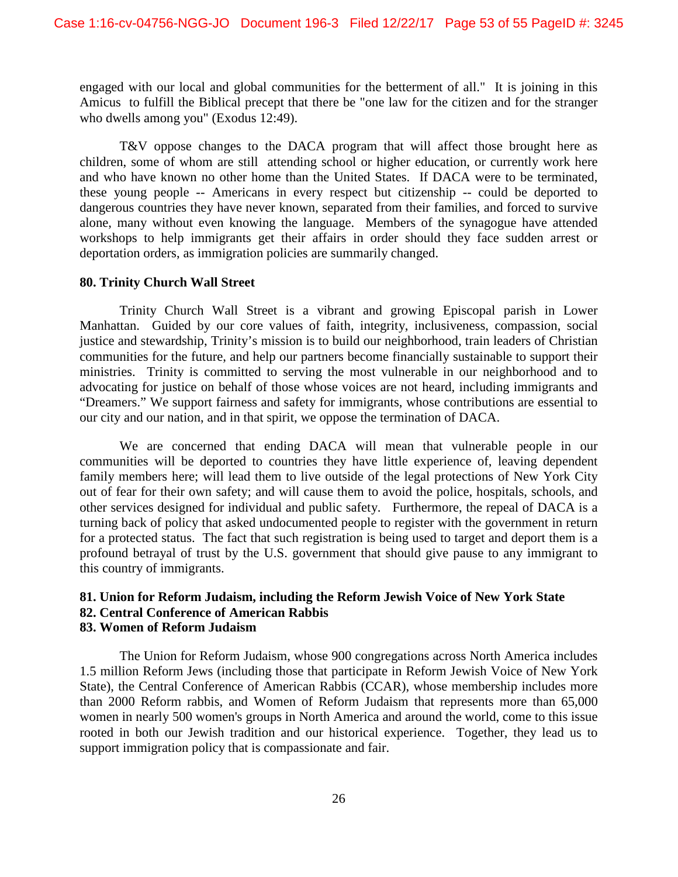engaged with our local and global communities for the betterment of all." It is joining in this Amicus to fulfill the Biblical precept that there be "one law for the citizen and for the stranger who dwells among you" (Exodus 12:49).

T&V oppose changes to the DACA program that will affect those brought here as children, some of whom are still attending school or higher education, or currently work here and who have known no other home than the United States. If DACA were to be terminated, these young people -- Americans in every respect but citizenship -- could be deported to dangerous countries they have never known, separated from their families, and forced to survive alone, many without even knowing the language. Members of the synagogue have attended workshops to help immigrants get their affairs in order should they face sudden arrest or deportation orders, as immigration policies are summarily changed.

#### **80. Trinity Church Wall Street**

Trinity Church Wall Street is a vibrant and growing Episcopal parish in Lower Manhattan. Guided by our core values of faith, integrity, inclusiveness, compassion, social justice and stewardship, Trinity's mission is to build our neighborhood, train leaders of Christian communities for the future, and help our partners become financially sustainable to support their ministries. Trinity is committed to serving the most vulnerable in our neighborhood and to advocating for justice on behalf of those whose voices are not heard, including immigrants and "Dreamers." We support fairness and safety for immigrants, whose contributions are essential to our city and our nation, and in that spirit, we oppose the termination of DACA.

We are concerned that ending DACA will mean that vulnerable people in our communities will be deported to countries they have little experience of, leaving dependent family members here; will lead them to live outside of the legal protections of New York City out of fear for their own safety; and will cause them to avoid the police, hospitals, schools, and other services designed for individual and public safety. Furthermore, the repeal of DACA is a turning back of policy that asked undocumented people to register with the government in return for a protected status. The fact that such registration is being used to target and deport them is a profound betrayal of trust by the U.S. government that should give pause to any immigrant to this country of immigrants.

### **81. Union for Reform Judaism, including the Reform Jewish Voice of New York State 82. Central Conference of American Rabbis 83. Women of Reform Judaism**

The Union for Reform Judaism, whose 900 congregations across North America includes 1.5 million Reform Jews (including those that participate in Reform Jewish Voice of New York State), the Central Conference of American Rabbis (CCAR), whose membership includes more than 2000 Reform rabbis, and Women of Reform Judaism that represents more than 65,000 women in nearly 500 women's groups in North America and around the world, come to this issue rooted in both our Jewish tradition and our historical experience. Together, they lead us to support immigration policy that is compassionate and fair.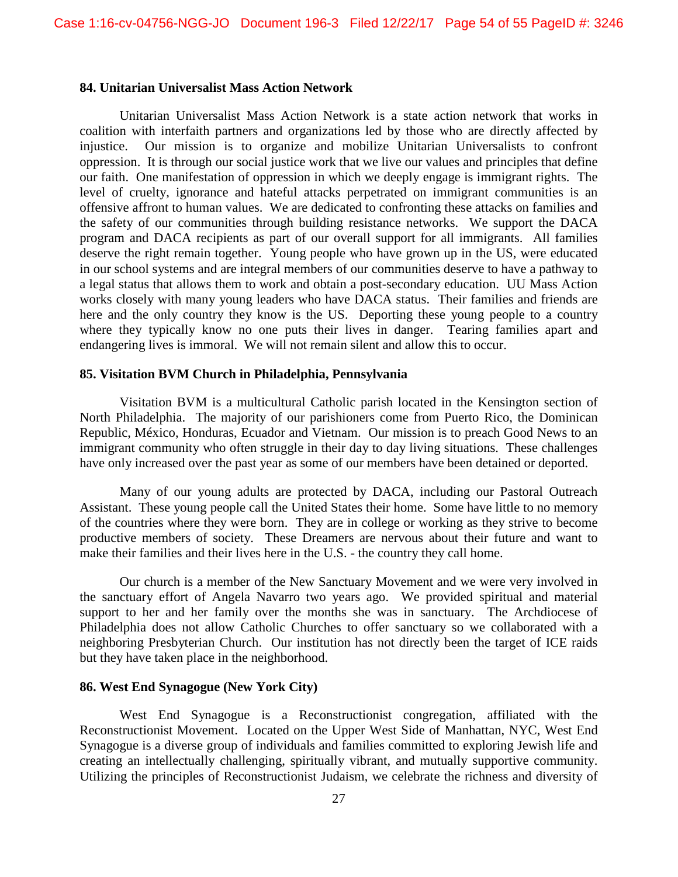#### **84. Unitarian Universalist Mass Action Network**

Unitarian Universalist Mass Action Network is a state action network that works in coalition with interfaith partners and organizations led by those who are directly affected by injustice. Our mission is to organize and mobilize Unitarian Universalists to confront oppression. It is through our social justice work that we live our values and principles that define our faith. One manifestation of oppression in which we deeply engage is immigrant rights. The level of cruelty, ignorance and hateful attacks perpetrated on immigrant communities is an offensive affront to human values. We are dedicated to confronting these attacks on families and the safety of our communities through building resistance networks. We support the DACA program and DACA recipients as part of our overall support for all immigrants. All families deserve the right remain together. Young people who have grown up in the US, were educated in our school systems and are integral members of our communities deserve to have a pathway to a legal status that allows them to work and obtain a post-secondary education. UU Mass Action works closely with many young leaders who have DACA status. Their families and friends are here and the only country they know is the US. Deporting these young people to a country where they typically know no one puts their lives in danger. Tearing families apart and endangering lives is immoral. We will not remain silent and allow this to occur.

#### **85. Visitation BVM Church in Philadelphia, Pennsylvania**

Visitation BVM is a multicultural Catholic parish located in the Kensington section of North Philadelphia. The majority of our parishioners come from Puerto Rico, the Dominican Republic, México, Honduras, Ecuador and Vietnam. Our mission is to preach Good News to an immigrant community who often struggle in their day to day living situations. These challenges have only increased over the past year as some of our members have been detained or deported.

Many of our young adults are protected by DACA, including our Pastoral Outreach Assistant. These young people call the United States their home. Some have little to no memory of the countries where they were born. They are in college or working as they strive to become productive members of society. These Dreamers are nervous about their future and want to make their families and their lives here in the U.S. - the country they call home.

Our church is a member of the New Sanctuary Movement and we were very involved in the sanctuary effort of Angela Navarro two years ago. We provided spiritual and material support to her and her family over the months she was in sanctuary. The Archdiocese of Philadelphia does not allow Catholic Churches to offer sanctuary so we collaborated with a neighboring Presbyterian Church. Our institution has not directly been the target of ICE raids but they have taken place in the neighborhood.

#### **86. West End Synagogue (New York City)**

West End Synagogue is a Reconstructionist congregation, affiliated with the Reconstructionist Movement. Located on the Upper West Side of Manhattan, NYC, West End Synagogue is a diverse group of individuals and families committed to exploring Jewish life and creating an intellectually challenging, spiritually vibrant, and mutually supportive community. Utilizing the principles of Reconstructionist Judaism, we celebrate the richness and diversity of